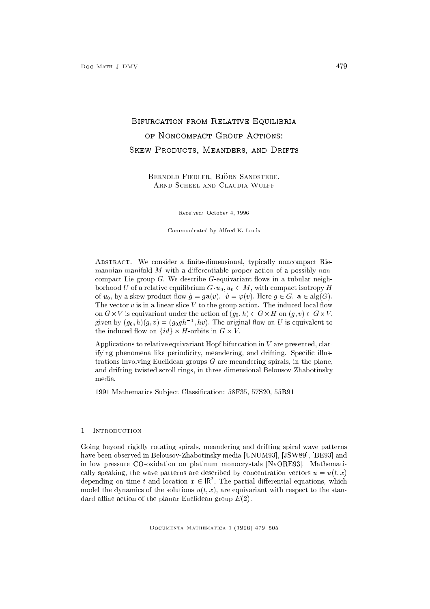# BIFURCATION FROM RELATIVE EQUILIBRIA OF NONCOMPACT GROUP ACTIONS: SKEW PRODUCTS, MEANDERS, AND DRIFTS

Bernold Fiedler, Bjorn Sandstede, Arnd Scheel and Claudia Wulff

Received: October 4, 1996

Communicated by Alfred K. Louis

ABSTRACT. We consider a finite-dimensional, typically noncompact Riemannian manifold  $M$  with a differentiable proper action of a possibly noncompact Lie group  $G$ . We describe  $G$ -equivariant flows in a tubular neighborhood U of a relative equilibrium  $G \cdot u_0, u_0 \in M$ , with compact isotropy H of  $u_0$ , by a skew product flow  $\dot{g} = g\mathbf{a}(v)$ ,  $\dot{v} = \varphi(v)$ . Here  $g \in G$ ,  $\mathbf{a} \in \text{alg}(G)$ . The vector  $v$  is in a linear slice  $V$  to the group action. The induced local flow on G-vis equivariant under the action of (g0; h) 2 G-vis en (g1; v) 2 G-vis e given by  $(g_0, n)(g, v) = (g_0gn^{-1}, nv)$ . The original flow on U is equivalent to the induced ow on fidg - H-orbits in <sup>G</sup> - V :

Applications to relative equivariant Hopf bifurcation in  $V$  are presented, clarifying phenomena like periodicity, meandering, and drifting. Specific illustrations involving Euclidean groups  $G$  are meandering spirals, in the plane, and drifting twisted scroll rings, in three-dimensional Belousov-Zhabotinsky media.

1991 Mathematics Sub ject Classication: 58F35, 57S20, 55R91

## 1 Introduction

Going beyond rigidly rotating spirals, meandering and drifting spiral wave patterns have been observed in Belousov-Zhabotinsky media [UNUM93], [JSW89], [BE93] and in low pressure CO-oxidation on platinum monocrystals [NvORE93]. Mathematically speaking, the wave patterns are described by concentration vectors  $u = u(t, x)$ depending on time t and location  $x \in \mathbb{R}$  . The partial differential equations, which model the dynamics of the solutions  $u(t, x)$ , are equivariant with respect to the standard affine action of the planar Euclidean group  $E(2)$ .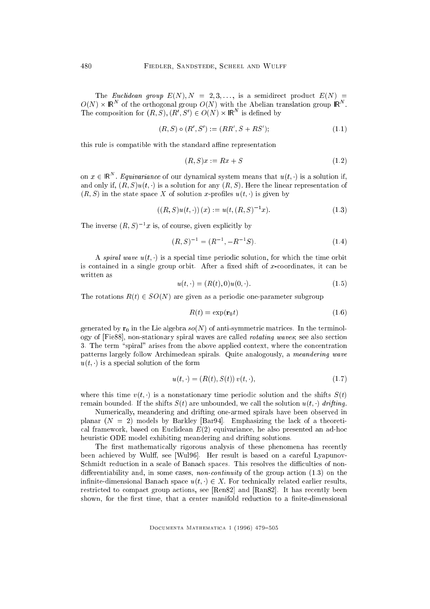The Euclidean group  $E(N), N = 2, 3, \ldots$ , is a semidirect product  $E(N) =$  $O(N)$   $\times$  IR  $^{-}$  of the orthogonal group  $O(N)$  with the Abelian translation group IR  $^{-}$  . The composition for  $(R, S), (R', S') \in U(N) \times \mathbb{R}^n$  is defined by

$$
(R, S) \circ (R', S') := (RR', S + RS'); \tag{1.1}
$$

this rule is compatible with the standard affine representation

$$
(R, S)x := Rx + S \tag{1.2}
$$

on  $x \in \mathsf{IR}$  . Equivariance of our dynamical system means that  $u(t, \cdot)$  is a solution if, and only if,  $(R, S)u(t, \cdot)$  is a solution for any  $(R, S)$ . Here the linear representation of  $(R, S)$  in the state space X of solution x-profiles  $u(t, \cdot)$  is given by

$$
((R, S)u(t, \cdot))(x) := u(t, (R, S)^{-1}x). \tag{1.3}
$$

The inverse  $(R, S)$  and is, or course, given explicitly by

$$
(R, S)^{-1} = (R^{-1}, -R^{-1}S). \tag{1.4}
$$

A spiral wave  $u(t, \cdot)$  is a special time periodic solution, for which the time orbit is contained in a single group orbit. After a fixed shift of x-coordinates, it can be written as

$$
u(t, \cdot) = (R(t), 0)u(0, \cdot). \tag{1.5}
$$

The rotations  $R(t) \in SO(N)$  are given as a periodic one-parameter subgroup

$$
R(t) = \exp(\mathbf{r}_0 t) \tag{1.6}
$$

generated by  $r_0$  in the Lie algebra so(N) of anti-symmetric matrices. In the terminology of [Fie88], non-stationary spiral waves are called rotating waves; see also section 3. The term "spiral" arises from the above applied context, where the concentration patterns largely follow Archimedean spirals. Quite analogously, a meandering wave  $u(t, \cdot)$  is a special solution of the form

$$
u(t, \cdot) = (R(t), S(t)) v(t, \cdot), \tag{1.7}
$$

where this time  $v(t, \cdot)$  is a nonstationary time periodic solution and the shifts  $S(t)$ remain bounded. If the shifts  $S(t)$  are unbounded, we call the solution  $u(t, \cdot)$  drifting.

Numerically, meandering and drifting one-armed spirals have been observed in planar  $(N = 2)$  models by Barkley [Bar94]. Emphasizing the lack of a theoretical framework, based on Euclidean  $E(2)$  equivariance, he also presented an ad-hoc heuristic ODE model exhibiting meandering and drifting solutions.

The first mathematically rigorous analysis of these phenomena has recently been achieved by Wulff, see [Wul96]. Her result is based on a careful Lyapunov-Schmidt reduction in a scale of Banach spaces. This resolves the difficulties of nondifferentiability and, in some cases, non-continuity of the group action  $(1.3)$  on the infinite-dimensional Banach space  $u(t, \cdot) \in X$ . For technically related earlier results, restricted to compact group actions, see [Ren82] and [Ran82]. It has recently been shown, for the first time, that a center manifold reduction to a finite-dimensional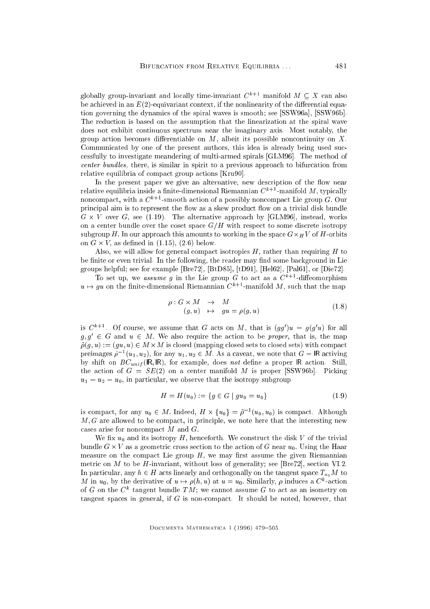globally group-invariant and locally time-invariant  $C^{k+1}$  manifold  $M \subseteq X$  can also be achieved in an  $E(2)$ -equivariant context, if the nonlinearity of the differential equation governing the dynamics of the spiral waves is smooth; see [SSW96a], [SSW96b]. The reduction is based on the assumption that the linearization at the spiral wave does not exhibit continuous spectrum near the imaginary axis. Most notably, the group action becomes differentiable on  $M$ , albeit its possible noncontinuity on  $X$ . Communicated by one of the present authors, this idea is already being used successfully to investigate meandering of multi-armed spirals [GLM96]. The method of center bundles, there, is similar in spirit to a previous approach to bifurcation from relative equilibria of compact group actions [Kru90].

In the present paper we give an alternative, new description of the flow near relative equilibria inside a finite-dimensional Riemannian  $C^{k+1}$ -manifold M, typically noncompact, with a  $C^{k+1}$ -smooth action of a possibly noncompact Lie group G. Our principal aim is to represent the flow as a skew product flow on a trivial disk bundle <sup>G</sup> - <sup>V</sup> over G, see (1.19). The alternative approach by [GLM96], instead, works on a center bundle over the coset space  $G/H$  with respect to some discrete isotropy subgroup H: In our and this process that the space  $\sim$  working in the space G-orbits  $\sim$  H  $\sim$  or  $\sim$  orbits to on <sup>G</sup> - V ; as dened in (1.15), (2.6) below.

Also, we will allow for general compact isotropies  $H$ , rather than requiring  $H$  to be finite or even trivial. In the following, the reader may find some background in Lie groups helpful; see for example [Bre72], [BtD85], [tD91], [Hel62], [Pal61], or [Die72].

To set up, we assume g in the Lie group G to act as a  $C^{k+1}$ -diffeomorphism  $u \mapsto gu$  on the finite-dimensional Riemannian  $C^{k+1}$ -manifold M, such that the map

$$
\rho: G \times M \rightarrow M
$$
  
(g, u)  $\mapsto gu = \rho(g, u)$  (1.8)

is  $C^*$ . Of course, we assume that G acts on M, that is  $(gg)(u) = g(g|u)$  for all  $g, g \in G$  and  $u \in M$ . We also require the action to be proper, that is, the map  $\mathbf{v}$  : (with  $\mathbf{v}$  is closed sets to closed sets to close sets to close sets to close sets to close sets to close  $\mathbf{v}$ preimages  $\rho^{-1}(u_1, u_2)$ , for any  $u_1, u_2 \in M$ . As a caveat, we note that  $G = \mathsf{IN}$  activing by shift on  $BC_{unif}$  (IR, IR), for example, does not define a proper IR action. Still, the action of  $G = SE(2)$  on a center manifold M is proper [SSW96b]. Picking  $u_1 = u_2 = u_0$ , in particular, we observe that the isotropy subgroup

$$
H = H(u_0) := \{ g \in G \mid gu_0 = u_0 \}
$$
\n<sup>(1.9)</sup>

is compact, for any  $u_0 \in M$ . Indeed,  $H \times \{u_0\} = \rho^{-1}(u_0, u_0)$  is compact. Although  $M, G$  are allowed to be compact, in principle, we note here that the interesting new cases arise for noncompact  $M$  and  $G$ .

We fix  $u_0$  and its isotropy H, henceforth. We construct the disk V of the trivial bundle G - V as a geometric cross section to the action to the Haar under Haar under Haar under Haar under Haa measure on the compact Lie group  $H$ , we may first assume the given Riemannian metric on  $M$  to be  $H$ -invariant, without loss of generality; see [Bre72], section VI.2. In particular, any  $h \in H$  acts linearly and orthogonally on the tangent space  $T_{u_0}M$  to  $m$  in  $u_0$ , by the derivative of  $u \mapsto \rho(n, u)$  at  $u = u_0$ . Similarly,  $\rho$  induces a C-action of G on the  $C$  -tangent bundle TM; we cannot assume G to act as an isometry on tangent spaces in general, if  $G$  is non-compact. It should be noted, however, that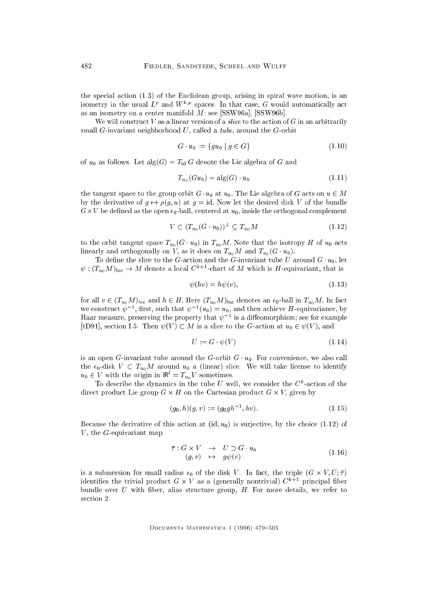the special action (1.3) of the Euclidean group, arising in spiral wave motion, is an isometry in the usual  $L^{\epsilon}$  and  $W\cong$  spaces. In that case,  $G$  would automatically act as an isometry on a center manifold M; see [SSW96a], [SSW96b].

We will construct  $V$  as a linear version of a *slice* to the action of  $G$  in an arbitrarily small  $G$ -invariant neighborhood  $U$ , called a *tube*, around the  $G$ -orbit

$$
G \cdot u_0 := \{ gu_0 \mid g \in G \} \tag{1.10}
$$

of  $u_0$  as follows. Let  $\text{alg}(G) = T_{\text{id}} G$  denote the Lie algebra of G and

$$
T_{u_0}(Gu_0) = \text{alg}(G) \cdot u_0 \tag{1.11}
$$

the tangent space to the group orbit  $G \cdot u_0$  at  $u_0$ . The Lie algebra of G acts on  $u \in M$ by the derivative of  $g \mapsto \rho(g, u)$  at  $g = id$ . Now let the desired disk V of the bundle G-<sup>V</sup> be dened as the open 0-ball, centered at u0; inside the orthogonal complement

$$
V \subset (T_{u_0}(G \cdot u_0))^\perp \subseteq T_{u_0}M \tag{1.12}
$$

to the orbit tangent space  $T_{u_0}(G \cdot u_0)$  in  $T_{u_0}M$ . Note that the isotropy H of  $u_0$  acts linearly and orthogonally on V, as it does on  $T_{u_0}M$  and  $T_{u_0}(G \cdot u_0)$ .

To define the slice to the G-action and the G-invariant tube U around  $G \cdot u_0$ , let  $\psi : (T_{u_0}M)_{\text{loc}} \to M$  denote a local  $C^{k+1}$ -chart of M which is H-equivariant, that is

$$
\psi(hv) = h\psi(v),\tag{1.13}
$$

for all  $v \in (T_{u_0}M)_{\text{loc}}$  and  $h \in H$ . Here  $(T_{u_0}M)_{\text{loc}}$  denotes an  $\epsilon_0$ -ball in  $T_{u_0}M$ . In fact we construct  $\psi^{-1}$ , inst, such that  $\psi^{-1}(u_0) = u_0$ , and then achieve  $H$ -equivariance, by Haar measure, preserving the property that  $\psi^{-1}$  is a diffeomorphism; see for example [tD91], section I.5. Then  $\psi(V) \subset M$  is a slice to the G-action at  $u_0 \in \psi(V)$ , and

$$
U := G \cdot \psi(V) \tag{1.14}
$$

is an open G-invariant tube around the G-orbit  $G \cdot u_0$ . For convenience, we also call the  $\epsilon_0$ -disk  $V \subset T_{u_0}M$  around  $u_0$  a (linear) slice. We will take license to identify  $u_0 \in V$  with the origin in  $\mathsf{IR}^\cdot = I_{u_0}V$  sometimes.

To describe the dynamics in the tube  $U$  well, we consider the  $C^*$ -action of the direct product Lie group <sup>G</sup> - <sup>H</sup> on the Cartesian product <sup>G</sup> - V ; given by

$$
(g_0, h)(g, v) := (g_0gh^{-1}, hv). \tag{1.15}
$$

Because the derivative of this action at  $(id, u_0)$  is surjective, by the choice (1.12) of  $V$ , the  $G$ -equivariant map

$$
\begin{array}{rcl}\n\bar{\tau} : G \times V & \to & U \supset G \cdot u_0 \\
(g, v) & \mapsto & g\psi(v)\n\end{array} \tag{1.16}
$$

is a submersion for small radius  $\mathcal{U}$  . In fact, the triple (G  $\mathcal{U}$  - triple  $\mathcal{U}$ identifies the trivial product  $G \times V$  as a (generally nontrivial)  $C$  + 1 principal fiber bundle over  $U$  with fiber, alias structure group,  $H$ . For more details, we refer to section 2.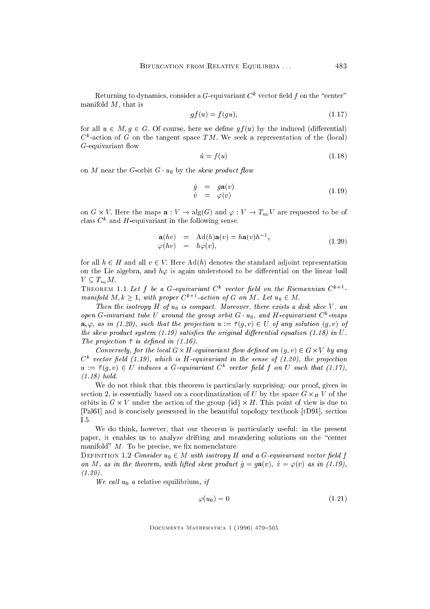Keturning to dynamics, consider a  $G$ -equivariant  $C$  – vector held  $f$  on the  $\,$  center  $\,$ manifold  $M$ , that is

$$
gf(u) = f(gu),\tag{1.17}
$$

for all  $u \in M$ ,  $g \in G$ . Of course, here we define  $gf(u)$  by the induced (differential)  $\cup$  -action of G on the tangent space TM. We seek a representation of the (local)  $G$ -equivariant flow

$$
\dot{u} = f(u) \tag{1.18}
$$

on M near the G-orbit  $G \cdot u_0$  by the skew product flow

$$
\dot{g} = g\mathbf{a}(v) \n\dot{v} = \varphi(v) \tag{1.19}
$$

on G  $\times$  V . Here the maps  ${\bf a} : V \to \mathop{{\rm alg}}\nolimits(G)$  and  $\varphi : V \to I_{u_0}V$  are requested to be of  $c$  and  $H$ -equivariant in the following sense:

$$
\begin{array}{rcl}\n\mathbf{a}(hv) & = & \operatorname{Ad}(h)\mathbf{a}(v) = h\mathbf{a}(v)h^{-1}, \\
\varphi(hv) & = & h\varphi(v),\n\end{array} \tag{1.20}
$$

for all  $h \in H$  and all  $v \in V$ . Here Ad(h) denotes the standard adjoint representation on the Lie algebra, and  $h\varphi$  is again understood to be differential on the linear ball  $V \subseteq T_{u_0}M$ .

**THEOREM II Let J be a G-equivariant C** vector net a on the Riemannian C <sup>-</sup> manifold  $M, k \geq 1$ , with proper  $C^{k+1}$ -action of G on M. Let  $u_0 \in M$ .

Then the isotropy H of  $u_0$  is compact. Moreover, there exists a disk slice V, an open G-invariant tube  $\cup$  around the group orbit  $G$  (  $u_0,$  and  $H$ -equivariant  $C$  -maps  $\mathbf{a}, \varphi$ , as in (1.20), such that the projection  $u := \overline{\tau}(g, v) \in U$  of any solution  $(g, v)$  of the skew product system  $(1.19)$  satisfies the original differential equation  $(1.18)$  in U. The projection  $\bar{\tau}$  is defined in (1.16).

own version is the local G-red on (group in the local control on (g)  $\sim$  G-red in (g) any g  $\mathcal C$  -vector peta (1.19), which is  $H$ -equivariant in the sense of (1.20), the projection  $u := \tau(q, v) \in U$  induces a G-equivariant C vector netally on U such that (1.17), (1.18) hold.

We do not think that this theorem is particularly surprising: our proof, given in section 2, is essentially based on a coordination of U by the space  $\mathbf{H}$  of U by the space G -  $\mathbf{H}$  of the space G -  $\mathbf{H}$ orbits in <sup>G</sup> - <sup>V</sup> under the action of the group fidg - H: This point of view is due to [Pal61] and is concisely presented in the beautiful topology textbook [tD91], section I.5.

We do think, however, that our theorem is particularly useful: in the present paper, it enables us to analyze drifting and meandering solutions on the \center manifold"  $M$ . To be precise, we fix nomenclature.

DEFINITION 1.2 Consider  $u_0 \in M$  with isotropy H and a G-equivariant vector field f on M, as in the theorem, with lifted skew product  $\dot{q} = q\mathbf{a}(v), \dot{v} = \varphi(v)$  as in (1.19),  $(1.20)$ .

We call  $u_0$  a relative equilibrium, if

$$
\varphi(u_0) = 0 \tag{1.21}
$$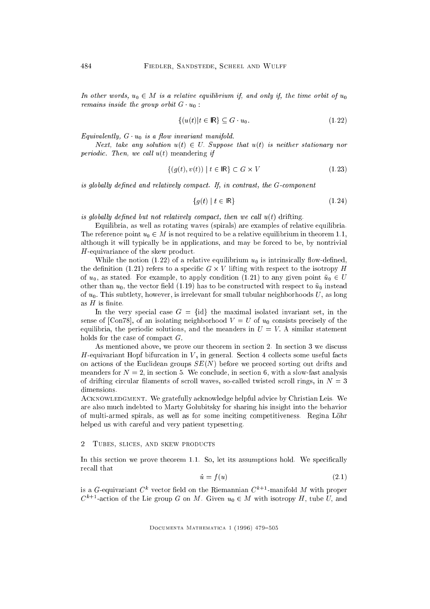In other words,  $u_0 \in M$  is a relative equilibrium if, and only if, the time orbit of  $u_0$ remains inside the group orbit  $G \cdot u_0$ :

$$
\{(u(t)|t \in \mathsf{IR}\} \subseteq G \cdot u_0. \tag{1.22}
$$

Equivalently,  $G \cdot u_0$  is a flow invariant manifold.

Next, take any solution  $u(t) \in U$ . Suppose that  $u(t)$  is neither stationary nor periodic. Then, we call  $u(t)$  meandering if

$$
\{(g(t), v(t)) \mid t \in \mathbb{R}\} \subset G \times V \tag{1.23}
$$

is globally defined and relatively compact. If, in contrast, the  $G$ -component

$$
\{g(t) \mid t \in \mathsf{IR}\}\tag{1.24}
$$

is globally defined but not relatively compact, then we call  $u(t)$  drifting.

Equilibria, as well as rotating waves (spirals) are examples of relative equilibria. The reference point  $u_0 \in M$  is not required to be a relative equilibrium in theorem 1.1, although it will typically be in applications, and may be forced to be, by nontrivial H-equivariance of the skew product.

While the notion (1.22) of a relative equilibrium  $u_0$  is intrinsically flow-defined, the denition (1.21) refers to a specic <sup>G</sup> - <sup>V</sup> lifting with respect to the isotropy <sup>H</sup> of  $u_0$ , as stated. For example, to apply condition (1.21) to any given point  $\tilde{u}_0 \in U$ other than  $u_0$ , the vector field (1.19) has to be constructed with respect to  $\tilde{u}_0$  instead of  $u_0$ . This subtlety, however, is irrelevant for small tubular neighborhoods U, as long as  $H$  is finite.

In the very special case  $G = \{id\}$  the maximal isolated invariant set, in the sense of [Con78], of an isolating neighborhood  $V = U$  of  $u_0$  consists precisely of the equilibria, the periodic solutions, and the meanders in  $U = V$ . A similar statement holds for the case of compact  $G$ .

As mentioned above, we prove our theorem in section 2. In section 3 we discuss H-equivariant Hopf bifurcation in  $V$ , in general. Section 4 collects some useful facts on actions of the Euclidean groups  $SE(N)$  before we proceed sorting out drifts and meanders for  $N = 2$ , in section 5. We conclude, in section 6, with a slow-fast analysis of drifting circular filaments of scroll waves, so-called twisted scroll rings, in  $N=3$ dimensions.

ACKNOWLEDGMENT. We gratefully acknowledge helpful advice by Christian Leis. We are also much indebted to Marty Golubitsky for sharing his insight into the behavior of multi-armed spirals, as well as for some inciting competitiveness. Regina Lohr helped us with careful and very patient typesetting.

#### 2 TUBES, SLICES, AND SKEW PRODUCTS

In this section we prove theorem 1.1. So, let its assumptions hold. We specifically recall that

$$
\dot{u} = f(u) \tag{2.1}
$$

is a G-equivariant <sup>C</sup><sup>k</sup> vector eld on the Riemannian <sup>C</sup>k+1-manifold <sup>M</sup> with proper  $C^{k+1}$ -action of the Lie group G on M. Given  $u_0 \in M$  with isotropy H, tube U, and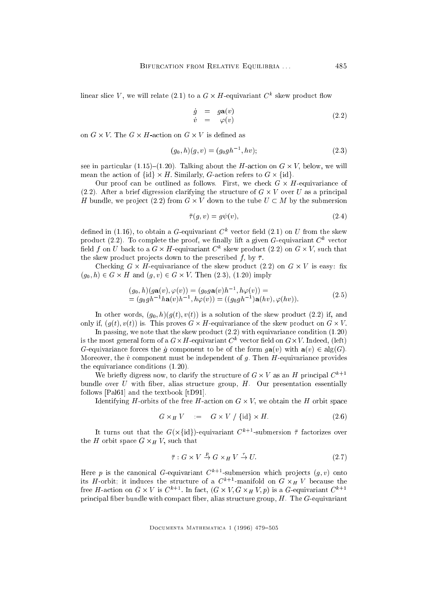illiear slice  $V$ , we will relate (2.1) to a G  $\times$   $\pi$ -equivarially  $C$  -skew product flow

$$
\dot{g} = g\mathbf{a}(v) \n\dot{v} = \varphi(v) \tag{2.2}
$$

$$
(g_0, h)(g, v) = (g_0gh^{-1}, hv); \tag{2.3}
$$

see in particular (1.21). The H-action of the H-action on G - (1.130). We will mean the action of fidelic states to G-action refers to G-action refers to G-action refers to G-action refers to G-

Our proof can be outlined as follows. First, we check <sup>G</sup> - H-equivariance of (2.2). After a brief digression clarifying the structure of <sup>G</sup> - <sup>V</sup> over <sup>U</sup> as a principal <sup>H</sup> bundle, we pro ject (2.2) from <sup>G</sup> - <sup>V</sup> down to the tube <sup>U</sup> <sup>M</sup> by the submersion

$$
\bar{\tau}(g, v) = g\psi(v),\tag{2.4}
$$

defined in (1.10), to obtain a  $G$ -equivariant  $C^\ast$  vector field (2.1) on  $U$  from the skew product (2.2). To complete the proof, we mially filt a given G-equivariant C<sup>12</sup> vector  $\lim_{t \to \infty}$  for  $U$  back to a  $G$   $\times$   $H$ -equivariant  $C^*$  skew product (2.2) on  $G$   $\times$   $V,$  such that the skew product projects down to the prescribed f, by  $\bar{\tau}$ .

checking G - and squarements of the skew product (2.2) on G - and Secondary and (g0; h) <sup>2</sup> <sup>G</sup> - <sup>H</sup> and (g; v) <sup>2</sup> <sup>G</sup> - V : Then (2.3), (1.20) imply

$$
(g_0, h)(g\mathbf{a}(v), \varphi(v)) = (g_0 g\mathbf{a}(v)h^{-1}, h\varphi(v)) = = (g_0gh^{-1}h\mathbf{a}(v)h^{-1}, h\varphi(v)) = ((g_0gh^{-1})\mathbf{a}(hv), \varphi(hv)).
$$
 (2.5)

In other words,  $(g_0, h)(g(t), v(t))$  is a solution of the skew product (2.2) if, and only if, (g(t)) is. This proves G - this proves G - this product on G - the skew product on G - the skew product on G - the skew product on G - the skew product on G - the skew product on G - the skew product on G - the sk

In passing, we note that the skew product (2.2) with equivariance condition (1.20) is the most general form of a G- $\times$  H-equivariant C – vector held on G- $\times$  V . Indeed, (left) G-equivariance forces the  $\dot{q}$  component to be of the form  $q\mathbf{a}(v)$  with  $\mathbf{a}(v) \in \text{alg}(G)$ . Moreover, the  $\dot{v}$  component must be independent of g. Then H-equivariance provides the equivariance conditions (1.20).

We prietly digress now, to clarify the structure of  $G \times V$  as an  $H$  principal  $C$ bundle over  $U$  with fiber, alias structure group,  $H$ . Our presentation essentially follows [Pal61] and the textbook [tD91].

Identifying H-orbits of the free H-action on <sup>G</sup> - V ; we obtain the <sup>H</sup> orbit space

$$
G \times_H V = G \times V / \{id\} \times H. \tag{2.6}
$$

It turns out that the  $G(X)$ id)-equivariant C  $-$  submersion  $\tau$  factorizes over the <sup>H</sup> orbit space <sup>G</sup> -<sup>H</sup> V ; such that

$$
\bar{\tau}: G \times V \stackrel{p}{\to} G \times_H V \stackrel{\tau}{\to} U. \tag{2.7}
$$

Here  $v$  is the canonical G-equivariant C+++-submersion which projects ( $g, v$ ) onto its  $H$ -orbit; it induces the structure of a C<sub>k+1</sub>-manifold on G  $\times_H$  V because the free  $H$ -action on G  $\times$   $V$  is  $C$  in fact, (G  $\times$   $V, G \times H$   $V, p$ ) is a G-equivariant  $C$ principal fiber bundle with compact fiber, alias structure group,  $H$ . The  $G$ -equivariant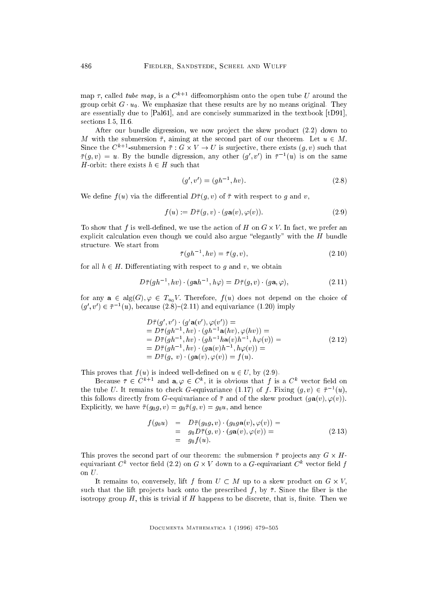map  $\tau$ , called tube map, is a  $C^{k+1}$  diffeomorphism onto the open tube U around the group orbit  $G \cdot u_0$ . We emphasize that these results are by no means original. They are essentially due to [Pal61], and are concisely summarized in the textbook [tD91], sections I.5, II.6.

After our bundle digression, we now project the skew product  $(2.2)$  down to M with the submersion  $\bar{\tau}$ , aiming at the second part of our theorem. Let  $u \in M$ . Since the C<sup>hippe</sup>r -submersion  $\tau : G \times V \to U$  is surjective, there exists  $(g, v)$  such that  $\tau(g, v) = u$ . By the bundle digression, any other  $(g, v)$  in  $\tau^{-1}(u)$  is on the same H-orbit: there exists  $h \in H$  such that

$$
(g', v') = (gh^{-1}, hv). \tag{2.8}
$$

We define  $f(u)$  via the differential  $D\bar{\tau}(g, v)$  of  $\bar{\tau}$  with respect to g and v,

$$
f(u) := D\bar{\tau}(g, v) \cdot (g\mathbf{a}(v), \varphi(v)). \tag{2.9}
$$

To show that <sup>f</sup> is well-dened, we use the action of <sup>H</sup> on <sup>G</sup> - V : In fact, we prefer an explicit calculation even though we could also argue "elegantly" with the  $H$  bundle structure. We start from

$$
\bar{\tau}(gh^{-1}, hv) = \bar{\tau}(g, v),\tag{2.10}
$$

for all  $h \in H$ . Differentiating with respect to g and v, we obtain

$$
D\bar{\tau}(gh^{-1}, hv) \cdot (gah^{-1}, h\varphi) = D\bar{\tau}(g, v) \cdot (g\mathbf{a}, \varphi), \tag{2.11}
$$

for any  $a \in alg(G), \varphi \in T_{u_0}V$ . Therefore,  $f(u)$  does not depend on the choice of  $(g, v) \in \tau^{-1}(u)$ , because (2.8)–(2.11) and equivariance (1.20) imply

$$
D\bar{\tau}(g', v') \cdot (g' \mathbf{a}(v'), \varphi(v')) =
$$
  
=  $D\bar{\tau}(gh^{-1}, hv) \cdot (gh^{-1}\mathbf{a}(hv), \varphi(hv)) =$   
=  $D\bar{\tau}(gh^{-1}, hv) \cdot (gh^{-1}h\mathbf{a}(v)h^{-1}, h\varphi(v)) =$   
=  $D\bar{\tau}(gh^{-1}, hv) \cdot (g\mathbf{a}(v)h^{-1}, h\varphi(v)) =$   
=  $D\bar{\tau}(g, v) \cdot (g\mathbf{a}(v), \varphi(v)) = f(u).$  (2.12)

This proves that  $f(u)$  is indeed well-defined on  $u \in U$ , by (2.9).

Because  $\tau \in C^{n+1}$  and  $\mathbf{a}, \varphi \in C^n$ , it is obvious that f is a  $C^n$  vector field on the tube U. It remains to check G-equivariance (1.17) or f  $f$  rixing  $(g, v) \in \tau^{-1}(u)$ , this follows directly from G-equivariance of  $\bar{\tau}$  and of the skew product  $(g\mathbf{a}(v), \varphi(v))$ . Explicitly, we have  $\bar{\tau}(g_0g, v) = g_0\bar{\tau}(g, v) = g_0u$ , and hence

$$
f(g_0u) = D\overline{\tau}(g_0g, v) \cdot (g_0g\mathbf{a}(v), \varphi(v)) =
$$
  
=  $g_0D\overline{\tau}(g, v) \cdot (g\mathbf{a}(v), \varphi(v)) =$   
=  $g_0f(u)$ . (2.13)

This proves the second part of our theorem: the submersion pro jects any <sup>G</sup> - Hequivariant  $\cup$  " vector neig (2.2) on G  $\times$   $v$  -down to a G-equivariant  $C$  " vector neig  $f$ on  $U$ .

It remains to, conversely, and I we want to a six when  $\mu$  is a skew product on G -  $\mu$  ,  $\mu$ such that the lift projects back onto the prescribed f, by  $\bar{\tau}$ . Since the fiber is the isotropy group  $H$ , this is trivial if  $H$  happens to be discrete, that is, finite. Then we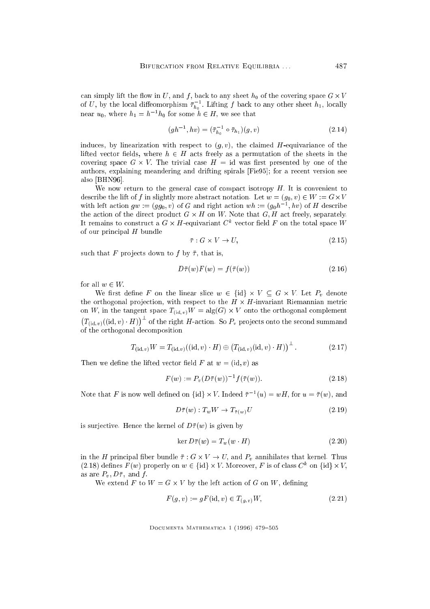can simply lift the covering space of the covering space  $\mu$  of the covering space G - the covering space G - the covering space G - the covering space G - the covering space G - the covering space G - the covering space of U, by the local diffeomorphism  $\tau_{h_0}$ . Lifting J back to any other sheet  $h_1$ , locally hear  $u_0$ , where  $n_1 = n_0$  for some  $n \in H$ , we see that

$$
(gh^{-1}, hv) = (\bar{\tau}_{h_0}^{-1} \circ \bar{\tau}_{h_1})(g, v)
$$
\n(2.14)

induces, by linearization with respect to  $(g, v)$ , the claimed H-equivariance of the lifted vector fields, where  $h \in H$  acts freely as a permutation of the sheets in the covering space G - in the trivial case H = idea - idea - idea - idea - idea - idea - idea - idea - idea - idea authors, explaining meandering and drifting spirals [Fie95]; for a recent version see also [BHN96].

We now return to the general case of compact isotropy  $H$ . It is convenient to describe the lift of  $f$  in slightly more abstract notation. Let we were  $\mathcal{L}(g(0): \mathcal{L}) \cong \mathcal{L}(f)$  . We define with left action  $gw := (gg_0, v)$  of G and right action  $wn := (g_0n^{-1}, nv)$  of H describe the action of the direct product <sup>G</sup> - <sup>H</sup> on W: Note that G; H act freely, separately. It remains to construct a  $G \times H$ -equivariant  $C^+$  vector field  $F$  on the total space  $W$ of our principal  $H$  bundle

$$
\bar{\tau}: G \times V \to U,\tag{2.15}
$$

such that F projects down to f by  $\bar{\tau}$ , that is,

$$
D\bar{\tau}(w)F(w) = f(\bar{\tau}(w))\tag{2.16}
$$

for all  $w \in W$ .

where the linear slice when the linear slice when  $\mathcal{L} = \mathcal{L}$  final slice when  $\mathcal{L} = \mathcal{L}$ the orthogonal pro jection, with respect to the <sup>H</sup> - H-invariant Riemannian metric on W; in the tangent space T(id;v) w alg(G)  $\sim$  also the orthogonal complement complement . .  $T_{(\mathrm{id}, v)}((\mathrm{id}, v) \cdot H))$ <sup>+</sup> of the right H-action. So  $P_v$  projects onto the second summand of the orthogonal decomposition

$$
T_{(\mathrm{id},v)}W = T_{(\mathrm{id},v)}((\mathrm{id},v) \cdot H) \oplus \left(T_{(\mathrm{id},v)}(\mathrm{id},v) \cdot H)\right)^{\perp}.
$$
 (2.17)

Then we define the lifted vector field F at  $w = (id, v)$  as

$$
F(w) := P_v (D\bar{\tau}(w))^{-1} f(\bar{\tau}(w)).
$$
\n(2.18)

Note that F is now went denned on  $\{u\}\times V$ . Indeed  $\tau^{-1}(u)=w\pi$ , for  $u=\tau(w)$ , and

$$
D\bar{\tau}(w) : T_w W \to T_{\bar{\tau}(w)} U \tag{2.19}
$$

is surjective. Hence the kernel of  $D\bar{\tau}(w)$  is given by

$$
\ker D\bar{\tau}(w) = T_w(w \cdot H) \tag{2.20}
$$

in the H principal ber bundle in the H principal bundle  $\mathcal{U}$  and Pv annihilates that kernel. Thus are the H principal bundle in the H principal bundle in the H principal bundle in the H principal bundle in the H princi (2.18) defines  $F(w)$  properly on  $w \in \{0\} \times V$ . Moreover, F is of class  $C^*$  on  $\{0\} \times V$ , as are  $P_v, D\bar{\tau}$ , and f.

 $\mathcal{L}$  to the left action of  $\mathcal{L}$  to  $\mathcal{L}$  and  $\mathcal{L}$  action of  $\mathcal{L}$  and  $\mathcal{L}$  are  $\mathcal{L}$ 

$$
F(g, v) := gF(\text{id}, v) \in T_{(g, v)}W,
$$
\n(2.21)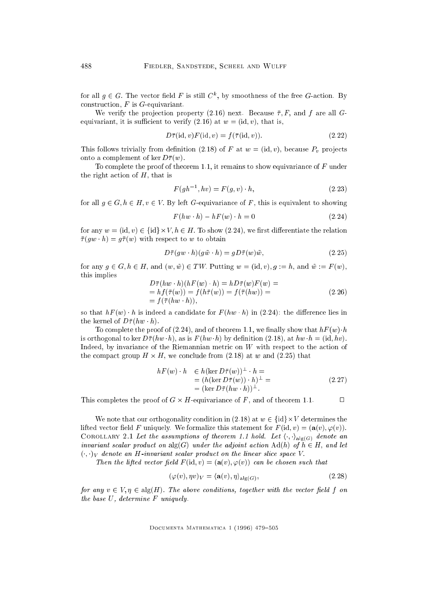for all  $g \in G$ . The vector field  $F$  is still  $C$  , by smoothness of the free G-action. By construction,  $F$  is  $G$ -equivariant.

We verify the projection property (2.16) next. Because  $\bar{\tau}$ , F, and f are all Gequivariant, it is sufficient to verify (2.16) at  $w = (id, v)$ , that is,

$$
D\bar{\tau}(\mathrm{id}, v)F(\mathrm{id}, v) = f(\bar{\tau}(\mathrm{id}, v)).\tag{2.22}
$$

This follows trivially from definition (2.18) of F at  $w = (\text{id}, v)$ , because  $P_v$  projects onto a complement of ker  $D\bar{\tau}(w)$ .

To complete the proof of theorem 1.1, it remains to show equivariance of  $F$  under the right action of  $H$ , that is

$$
F(gh^{-1}, hv) = F(g, v) \cdot h,
$$
\n(2.23)

for all  $q \in G$ ,  $h \in H$ ,  $v \in V$ . By left G-equivariance of F, this is equivalent to showing

$$
F(hw \cdot h) - hF(w) \cdot h = 0 \tag{2.24}
$$

 $\mathcal{U}$  is any weight of the relationship of the relationship of the relationship of the relationship of the relationship of the relationship of the relationship of the relationship of the relationship of the relationshi  $\bar{\tau}(gw \cdot h) = g\bar{\tau}(w)$  with respect to w to obtain

$$
D\bar{\tau}(gw \cdot h)(g\tilde{w} \cdot h) = gD\bar{\tau}(w)\tilde{w},\qquad(2.25)
$$

for any  $g \in G$ ,  $h \in H$ , and  $(w, \tilde{w}) \in TW$ . Putting  $w = (\text{id}, v)$ ,  $g := h$ , and  $\tilde{w} := F(w)$ , this implies

$$
D\bar{\tau}(hw \cdot h)(hF(w) \cdot h) = hD\bar{\tau}(w)F(w) == hf(\bar{\tau}(w)) = f(h\bar{\tau}(w)) = f(\bar{\tau}(hw)) == f(\bar{\tau}(hw \cdot h)),
$$
\n(2.26)

so that  $hF(w) \cdot h$  is indeed a candidate for  $F(hw \cdot h)$  in (2.24): the difference lies in the kernel of  $D\bar{\tau}(hw \cdot h)$ .

To complete the proof of (2.24), and of theorem 1.1, we finally show that  $hF(w) \cdot h$ is orthogonal to ker  $D\bar{\tau}(hw \cdot h)$ , as is  $F(hw \cdot h)$  by definition (2.18), at  $hw \cdot h = (\mathrm{id}, hv)$ . Indeed, by invariance of the Riemannian metric on <sup>W</sup> with respect to the action of the compact group H - . He concluded from (2.18) at which (2.18) that

$$
hF(w) \cdot h \in h(\ker D\overline{\tau}(w))^{\perp} \cdot h =
$$
  
=  $(h(\ker D\overline{\tau}(w)) \cdot h)^{\perp} =$   
=  $(\ker D\overline{\tau}(hw \cdot h))^{\perp}.$  (2.27)

 $\Box$ This completes the proof of G - and of the F , and of the S - and of the second  $\sim$ 

We note that our orthogonality condition in (2.18) at <sup>w</sup> <sup>2</sup> fidg-<sup>V</sup> determines the lifted vector field F uniquely. We formalize this statement for  $F(\mathrm{id}, v) = (\mathbf{a}(v), \varphi(v)).$ COROLLARY 2.1 Let the assumptions of theorem 1.1 hold. Let  $\langle \cdot, \cdot \rangle_{\text{alg}(G)}$  denote an invariant scalar product on  $\text{alg}(G)$  under the adjoint action  $\text{Ad}(h)$  of  $h \in H$ , and let  $(\cdot, \cdot)_V$  denote an H-invariant scalar product on the linear slice space V.

Then the lifted vector field  $F(\mathrm{id}, v) = (\mathbf{a}(v), \varphi(v))$  can be chosen such that

$$
(\varphi(v), \eta v)_V = \langle \mathbf{a}(v), \eta \rangle_{\text{alg}(G)},\tag{2.28}
$$

for any  $v \in V, \eta \in \text{alg}(H)$ . The above conditions, together with the vector field f on the base U, determine <sup>F</sup> uniquely.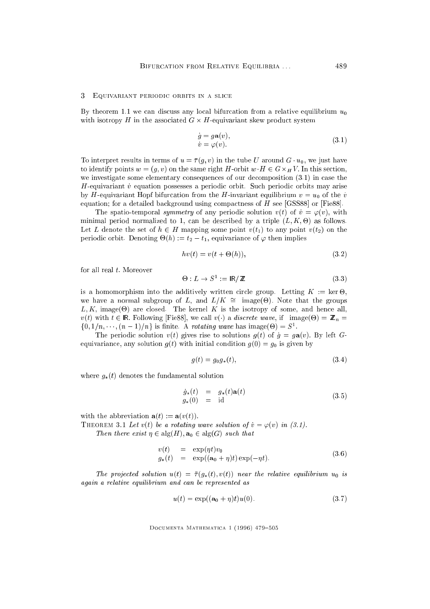## 3 Equivariant periodic orbits in a slice

By theorem 1.1 we can discuss any local bifurcation from a relative equilibrium  $u_0$ with isotropy H in the associated G - H-equivariant skew product system product system product system product s

$$
\dot{g} = g\mathbf{a}(v), \n\dot{v} = \varphi(v).
$$
\n(3.1)

To interpret results in terms of  $u = \overline{\tau}(g, v)$  in the tube U around  $G \cdot u_0$ , we just have to identify which is a same right H-orbit when  $\alpha$  is the same right H-orbit wH 2 G-orbit wH 2 G-orbit wH 2 G-orbit wH 2 G-orbit wH 2 G-orbit wH 2 G-orbit wH 2 G-orbit wH 2 G-orbit wH 2 G-orbit wH 2 G-orbit wH 2 G-orbit we investigate some elementary consequences of our decomposition (3.1) in case the H-equivariant  $\dot{v}$  equation possesses a periodic orbit. Such periodic orbits may arise by H-equivariant Hopf bifurcation from the H-invariant equilibrium  $v = u_0$  of the *v* equation; for a detailed background using compactness of  $H$  see [GSS88] or [Fie88].

The spatio-temporal symmetry of any periodic solution  $v(t)$  of  $\dot{v} = \varphi(v)$ , with minimal period normalized to 1, can be described by a triple (L; K; -) as follows. Let L denote the set of  $h \in H$  mapping some point  $v(t_1)$  to any point  $v(t_2)$  on the periodic orbit. Denoting  $\Theta(n) := t_2 - t_1$ , equivariance of  $\varphi$  then implies

$$
hv(t) = v(t + \Theta(h)),\tag{3.2}
$$

for all real  $t$ . Moreover

$$
\Theta: L \to S^1 := \mathsf{IR}/\mathbb{Z} \tag{3.3}
$$

is a homomorphism into the additively written circle group. Letting  $K$  : ker  $\mathcal{L}$  : ker  $\mathcal{L}$  : ker  $\mathcal{L}$ we have a normal subgroup of  $E$ , and  $E/K = \max_{i=1}^{\infty} E(i)$ . Note that the groups  $\mathbb{R}$  are closed. The kernel K isotropy of some, and hence all, and hence all, and hence all, and hence all, and hence all, and hence all, and hence all, and hence all, and hence all, and hence all, and hence all, and  $\alpha$  is the 2 IR: Following [Fiese], we call v() a discrete wave, if  $\alpha$  is the  $\alpha$  is  $\alpha$  $\{0, 1/n, \ldots, (n-1)/n\}$  is finite. A *rotating wave* has image( $\Theta$ ) = S.

The periodic solution  $v(t)$  gives rise to solutions  $g(t)$  of  $\dot{g} = g\mathbf{a}(v)$ . By left Gequivariance, any solution  $g(t)$  with initial condition  $g(0) = g_0$  is given by

$$
g(t) = g_0 g_*(t),
$$
\n(3.4)

where  $g_*(t)$  denotes the fundamental solution

$$
\dot{g}_*(t) = g_*(t)\mathbf{a}(t) \n g_*(0) = id
$$
\n(3.5)

with the abbreviation  $\mathbf{a}(t) := \mathbf{a}(v(t)).$ 

THEOREM 3.1 Let  $v(t)$  be a rotating wave solution of  $\dot{v} = \varphi(v)$  in (3.1).

Then there exist  $\eta \in \text{alg}(H)$ ,  $\mathbf{a}_0 \in \text{alg}(G)$  such that

$$
v(t) = \exp(\eta t)v_0
$$
  
\n
$$
g_*(t) = \exp((\mathbf{a}_0 + \eta)t)\exp(-\eta t).
$$
\n(3.6)

The projected solution  $u(t) = \bar{\tau}(g_*(t), v(t))$  near the relative equilibrium  $u_0$  is again a relative equilibrium and can be represented as

$$
u(t) = \exp((\mathbf{a}_0 + \eta)t)u(0). \tag{3.7}
$$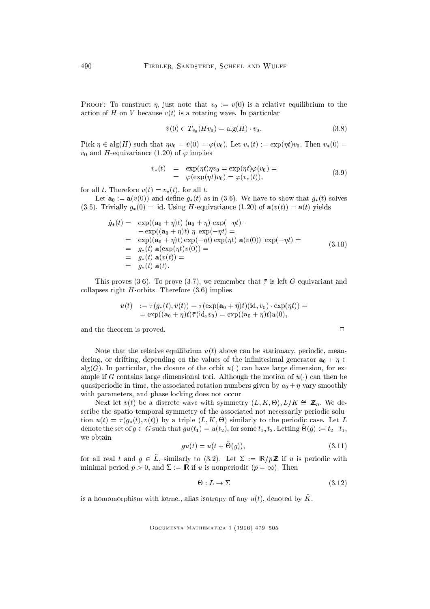**PROOF:** To construct  $\eta$ , just note that  $v_0 := v(0)$  is a relative equilibrium to the action of H on V because  $v(t)$  is a rotating wave. In particular

$$
\dot{v}(0) \in T_{v_0}(Hv_0) = \text{alg}(H) \cdot v_0. \tag{3.8}
$$

Pick  $\eta \in \text{alg}(H)$  such that  $\eta v_0 = \dot{v}(0) = \varphi(v_0)$ . Let  $v_*(t) := \exp(\eta t)v_0$ . Then  $v_*(0) =$  $v_0$  and H-equivariance (1.20) of  $\varphi$  implies

$$
\dot{v}_*(t) = \exp(\eta t)\eta v_0 = \exp(\eta t)\varphi(v_0) =
$$
  
=  $\varphi(\exp(\eta t)v_0) = \varphi(v_*(t)),$  (3.9)

for all t. Therefore  $v(t) = v_*(t)$ , for all t.

Let  $\mathbf{a}_0 := \mathbf{a}(v(0))$  and define  $g_*(t)$  as in (3.6). We have to show that  $g_*(t)$  solves (3.5). Trivially  $g_*(0) = id$ . Using H-equivariance (1.20) of  $\mathbf{a}(v(t)) = \mathbf{a}(t)$  yields

$$
\dot{g}_*(t) = \exp((\mathbf{a}_0 + \eta)t) (\mathbf{a}_0 + \eta) \exp(-\eta t) -
$$
\n
$$
-\exp((\mathbf{a}_0 + \eta)t) \eta \exp(-\eta t) =
$$
\n
$$
= \exp((\mathbf{a}_0 + \eta)t) \exp(-\eta t) \exp(\eta t) \mathbf{a}(v(0)) \exp(-\eta t) =
$$
\n
$$
= g_*(t) \mathbf{a}(\exp(\eta t)v(0)) =
$$
\n
$$
= g_*(t) \mathbf{a}(v(t)) =
$$
\n
$$
= g_*(t) \mathbf{a}(t).
$$
\n(3.10)

This proves (3.6). To prove (3.7), we remember that  $\bar{\tau}$  is left G equivariant and collapses right  $H$ -orbits. Therefore  $(3.6)$  implies

$$
u(t) := \overline{\tau}(g_*(t), v(t)) = \overline{\tau}(\exp(\mathbf{a}_0 + \eta)t)(\mathrm{id}, v_0) \cdot \exp(\eta t)) =
$$
  
= 
$$
\exp((\mathbf{a}_0 + \eta)t)\overline{\tau}(\mathrm{id}, v_0) = \exp((\mathbf{a}_0 + \eta)t)u(0),
$$

and the theorem is proved.  $\Box$ 

Note that the relative equilibrium  $u(t)$  above can be stationary, periodic, meandering, or drifting, depending on the values of the infinitesimal generator  $a_0 + \eta \in$ alg(G). In particular, the closure of the orbit  $u(.)$  can have large dimension, for example if G contains large dimensional tori. Although the motion of  $u(\cdot)$  can then be quasiperiodic in time, the associated rotation numbers given by  $a_0 + \eta$  vary smoothly with parameters, and phase locking does not occur.

EVEXT let  $v(t)$  be a discrete wave with symmetry  $(L, K, U), L/K = \mathbb{Z}_n$ . We describe the spatio-temporal symmetry of the associated not necessarily periodic solu $u_1u_1 = u_1(u_*, u_1, u_2(u_1, u_2, u_3, u_4)$  by a triple  $(L, K, U)$  similarly to the periodic case. Let  $L$ denote the set of  $g \in G$  such that  $g u(v_1) = u(v_2)$ , for some  $v_1, v_2$ . Detting  $O(g) := v_2 - v_1$ , we obtain

$$
gu(t) = u(t + \Theta(g)),\tag{3.11}
$$

for all real t and  $g \in \tilde{L}$ , similarly to (3.2). Let  $\Sigma := \mathbb{R}/p\mathbb{Z}$  if u is periodic with minimal period  $p > 0$ , and  $\Sigma := \mathbb{R}$  if u is nonperiodic  $(p = \infty)$ . Then

$$
\tilde{\Theta} : \tilde{L} \to \Sigma \tag{3.12}
$$

is a homomorphism with kernel, alias isotropy of any  $u(t)$ , denoted by  $\tilde{K}$ .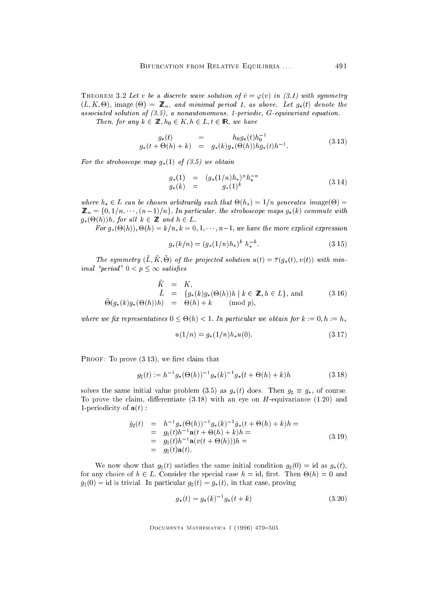THEOREM 3.2 Let v be a discrete wave solution of  $\dot{v} = \varphi(v)$  in (3.1) with symmetry  $\mathcal{L} = \{ \mathcal{L} \mid \mathcal{L} \}$  . The minimal period  $\mathcal{L} = \{ \mathcal{L} \}$  and  $\mathcal{L} = \{ \mathcal{L} \}$ associated solution of (3.5), a nonautonomous, 1-periodic, G-equivariant equation.

Then, for any  $k \in \mathbb{Z}$ ,  $h_0 \in K$ ,  $h \in L$ ,  $t \in \mathbb{R}$ , we have

$$
g_*(t) = h_0 g_*(t) h_0^{-1}
$$
  
\n
$$
g_*(t + \Theta(h) + k) = g_*(k) g_*(\Theta(h)) h g_*(t) h^{-1}.
$$
\n(3.13)

For the stroboscope map  $g_*(1)$  of (3.5) we obtain

$$
g_*(1) = (g_*(1/n)h_*)^n h_*^{-n}
$$
  
\n
$$
g_*(k) = g_*(1)^k
$$
\n(3.14)

where  $\alpha$  is a canonical contract  $\alpha$  are chosen arbitrarily such that  $\alpha$  is given that  $\alpha$  is a contract  $\alpha$  $\overline{\phantom{a}}$  is the form in particular, the strong form in particular, the strong generation of  $\overline{\phantom{a}}$  $\boldsymbol{H}$  and hence  $\boldsymbol{H}$  and h  $\boldsymbol{H}$  and  $\boldsymbol{H}$  and h  $\boldsymbol{H}$  and  $\boldsymbol{H}$ 

 $F$  and  $F$  and  $F$  are more expressions of the more expectation of the more expression of the more expression of the more expression of the more expectation of the more expectation of the more expression of the more expr

$$
g_*(k/n) = (g_*(1/n)h_*)^k h_*^{-k}.
$$
\n(3.15)

The symmetry  $(L, K, \mathcal{O})$  of the projected solution  $u(t) = \iota(g_*(t), v(t))$  with minimal "period"  $0 < p \leq \infty$  satisfies

$$
\tilde{K} = K,
$$
\n
$$
\tilde{L} = \{g_*(k)g_*(\Theta(h))h \mid k \in \mathbb{Z}, h \in L\}, \text{ and } \qquad (3.16)
$$
\n
$$
\tilde{\Theta}(g_*(k)g_*(\Theta(h))h) = \Theta(h) + k \qquad (\text{mod } p),
$$

where we obtain for the contraction for the contraction for the contraction of the contraction of the contraction of the contraction of the contraction of the contraction of the contraction of the contraction of the contr

$$
u(1/n) = g_*(1/n)h_*u(0).
$$
 (3.17)

PROOF: To prove  $(3.13)$ , we first claim that

$$
g_{\sharp}(t) := h^{-1} g_{*}(\Theta(h))^{-1} g_{*}(k)^{-1} g_{*}(t + \Theta(h) + k)h \tag{3.18}
$$

solves the same initial value problem (3.5) as  $g_*(t)$  does. Then  $g_\sharp \equiv g_*,$  of course. To prove the claim, differentiate  $(3.18)$  with an eye on H-equivariance  $(1.20)$  and 1-periodicity of  $\mathbf{a}(t)$ :

$$
\dot{g}_{\sharp}(t) = h^{-1}g_{*}(\Theta(h))^{-1}g_{*}(k)^{-1}\dot{g}_{*}(t+\Theta(h)+k)h =
$$
\n
$$
= g_{\sharp}(t)h^{-1}\mathbf{a}(t+\Theta(h)+k)h =
$$
\n
$$
= g_{\sharp}(t)h^{-1}\mathbf{a}(v(t+\Theta(h)))h =
$$
\n
$$
= g_{\sharp}(t)\mathbf{a}(t).
$$
\n(3.19)

We now show that  $g_{\sharp}(t)$  satisfies the same initial condition  $g_{\sharp}(0) = id$  as  $g_{\ast}(t)$ ; for any choice of <sup>h</sup> <sup>2</sup> L: Consider the special case <sup>h</sup> = id, rst. Then -(h) = 0 and  $g_{\sharp}(0) = id$  is trivial. In particular  $g_{\sharp}(t) = g_{*}(t)$ , in that case, proving

$$
g_*(t) = g_*(k)^{-1} g_*(t+k)
$$
\n(3.20)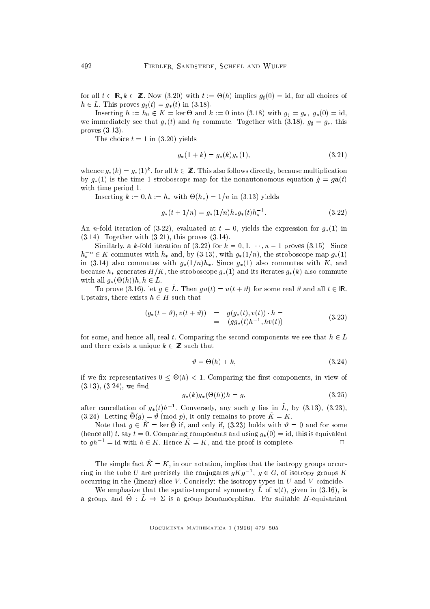for all t 2 irigin  $z = -1$  is the  $(3.20)$  minimized of  $(10)$  implies  $g_{\parallel}(0)$  , for all choices of  $h \in L$ . This proves  $g_{\sharp}(t) = g_{*}(t)$  in (3.18).

ان المنافس المنافس المنافس المنافس المنافس والمنافس المنافس المنافس المنافس المنافس المنافس المنافس المنافس ال we immediately see that  $g_*(t)$  and  $h_0$  commute. Together with (3.18),  $g_i = g_*,$  this proves (3.13).

The choice  $t = 1$  in (3.20) yields

$$
g_*(1+k) = g_*(k)g_*(1),\tag{3.21}
$$

whence  $g_*(\kappa) = g_*(1)$ , for all  $\kappa \in \mathbb{Z}$ . This also follows directly, because multiplication by  $g_*(1)$  is the time 1 stroboscope map for the nonautonomous equation  $\dot{g} = g\mathbf{a}(t)$ with time period 1.

Inserting <sup>k</sup> := 0; h := h with -(h) = 1=n in (3.13) yields

$$
g_*(t+1/n) = g_*(1/n)h_*g_*(t)h_*^{-1}.
$$
\n(3.22)

An n-fold iteration of (3.22), evaluated at  $t = 0$ , yields the expression for  $g_*(1)$  in (3.14). Together with (3.21), this proves (3.14).

Similarly, a k-fold iteration of  $(3.22)$  for  $k = 0, 1, \dots, n-1$  proves  $(3.15)$ . Since  $n_*$   $\in$  A commutes with  $n_*$  and, by (3.13), with  $g_*(1/n)$ , the stroboscope map  $g_*(1)$ in (3.14) also commutes with  $g_*(1/n)h_*$ . Since  $g_*(1)$  also commutes with K, and because  $h_*$  generates  $H/K$ , the stroboscope  $g_*(1)$  and its iterates  $g_*(k)$  also commute with a linear  $\mathcal{G}(\cdot|\cdot)$  is a linear  $\mathcal{G}(\cdot|\cdot)$ 

To prove (3.16), let  $g \in \tilde{L}$ . Then  $gu(t) = u(t + \vartheta)$  for some real  $\vartheta$  and all  $t \in \mathbb{R}$ . Upstairs, there exists  $h \in H$  such that

$$
(g_*(t + \vartheta), v(t + \vartheta)) = g(g_*(t), v(t)) \cdot h =
$$
  
=  $(gg_*(t)h^{-1}, hv(t))$  (3.23)

for some, and hence all, real t. Comparing the second components we see that  $h \in L$ and there exists a unique  $k \in \mathbb{Z}$  such that

$$
\vartheta = \Theta(h) + k,\tag{3.24}
$$

if we can represent the representative  $\mathbb{R}^n$  . The representative of  $\mathbb{R}^n$  is view of  $\mathbb{R}^n$  $(3.13), (3.24),$  we find

$$
g_*(k)g_*(\Theta(h))h = g,\tag{3.25}
$$

after cancellation of  $g_*(t)h$  . Conversely, any such g lies in  $L$ , by (3.13), (3.23), (3.24). Letting  $O(g) = v$  (mod p), it only remains to prove  $K = K$ .

rvote that  $y \in K = \ker \Theta$  if, and only if, (5.23) holds with  $\theta = 0$  and for some (hence all) t, say  $t = 0$ . Comparing components and using  $g_*(0) = id$ , this is equivalent to  $gh^{-1} = id$  with  $h \in K$ . Hence  $\tilde{K} = K$ , and the proof is complete.

The simple fact  $\tilde{K} = K$ , in our notation, implies that the isotropy groups occurring in the tube U are precisely the conjugates  $qKq^{-1}$ ,  $q \in G$ , of isotropy groups  $K$ occurring in the (linear) slice  $V$ . Concisely: the isotropy types in  $U$  and  $V$  coincide.

We emphasize that the spatio-temporal symmetry  $L$  or  $u(t)$ , given in (3.10), is a group, and  $Q: E \rightarrow \mathbb{Z}$  is a group nomomorphism. For suitable H-equivariant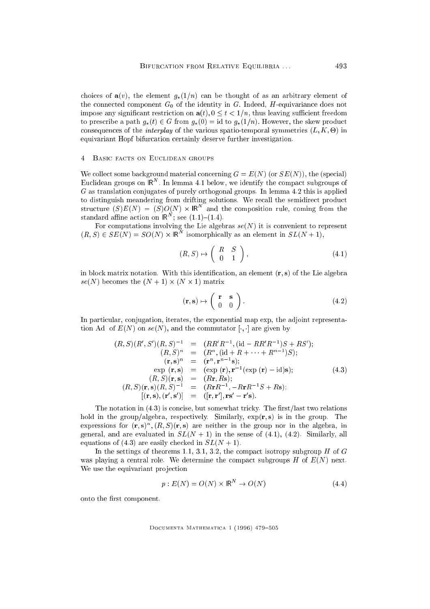choices of  $\mathbf{a}(v)$ , the element  $g_*(1/n)$  can be thought of as an arbitrary element of the connected component  $G_0$  of the identity in G. Indeed, H-equivariance does not impose any significant restriction on  $a(t)$ ,  $0 \le t < 1/n$ , thus leaving sufficient freedom to prescribe a path  $g_*(t) \in G$  from  $g_*(0) = id$  to  $g_*(1/n)$ . However, the skew product consequences of the interplay of the various spatio-temporal symmetries (L; K; -) in equivariant Hopf bifurcation certainly deserve further investigation.

#### 4 Basic facts on Euclidean groups

We collect some background material concerning  $G = E(N)$  (or  $SE(N)$ ), the (special) Euclidean groups on  $K$  . In lemma 4.1 below, we identify the compact subgroups of <sup>G</sup> as translation conjugates of purely orthogonal groups. In lemma 4.2 this is applied to distinguish meandering from drifting solutions. We recall the semidirect product structure  $(S)E(N) = (S)U(N) \times \mathbb{R}^2$  and the composition rule, coming from the standard amne action on  $\mathsf{IR}^+$ ; see  $(1.1)$ = $(1.4)$ .

For computations involving the Lie algebras  $se(N)$  it is convenient to represent  $(R, S) \in SL(N) = SU(N) \times \mathbb{R}$  isomorphically as an element in  $SL(N+1)$ ,

$$
(R, S) \mapsto \left( \begin{array}{cc} R & S \\ 0 & 1 \end{array} \right),\tag{4.1}
$$

in block matrix notation. With this identification, an element  $(r, s)$  of the Lie algebra se(2) becomes the (2)  $\rightarrow$  1) (2)  $\rightarrow$  1)  $\rightarrow$  1)  $\rightarrow$ 

$$
(\mathbf{r}, \mathbf{s}) \mapsto \left(\begin{array}{cc} \mathbf{r} & \mathbf{s} \\ 0 & 0 \end{array}\right). \tag{4.2}
$$

In particular, conjugation, iterates, the exponential map exp, the adjoint representation Ad of  $E(N)$  on  $se(N)$ , and the commutator  $[\cdot, \cdot]$  are given by

$$
(R, S)(R', S')(R, S)^{-1} = (RR'R^{-1}, (\text{id} - RR'R^{-1})S + RS');(R, S)^n = (R^n, (\text{id} + R + \cdots + R^{n-1})S);(r, s)^n = (r^n, r^{n-1}s);\exp(r, s) = (\exp(r), r^{-1}(\exp(r) - \text{id})s);(R, S)(r, s) = (Rr, Rs);(R, S)(r, s)(R, S)^{-1} = (RrR^{-1}, -RrR^{-1}S + Rs);[(r, s), (r', s')] = ([r, r'], rs' - r's).
$$
\n(4.3)

The notation in  $(4.3)$  is concise, but somewhat tricky. The first/last two relations hold in the group/algebra, respectively. Similarly,  $\exp(r, s)$  is in the group. The expressions for  $(r, s)$ ,  $(n, s)$  are neither in the group nor in the algebra, in general, and are evaluated in  $SL(N + 1)$  in the sense of (4.1), (4.2). Similarly, all equations of (4.3) are easily checked in  $SL(N + 1)$ .

In the settings of theorems 1.1, 3.1, 3.2, the compact isotropy subgroup  $H$  of  $G$ was playing a central role. We determine the compact subgroups  $H$  of  $E(N)$  next. We use the equivariant projection

$$
p: E(N) = O(N) \times \mathsf{IR}^N \to O(N) \tag{4.4}
$$

s):

onto the first component.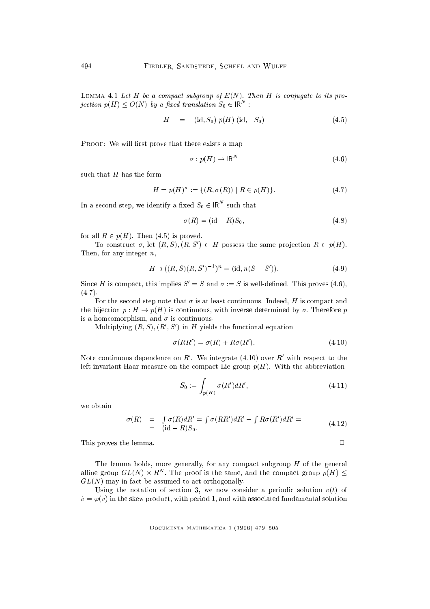LEMMA 4.1 Let H be a compact subgroup of  $E(N)$ . Then H is conjugate to its projection  $p(H) \leq U(N)$  by a fixed translation  $S_0 \in \mathbb{R}$  :

$$
H = (\text{id}, S_0) \ p(H) (\text{id}, -S_0) \tag{4.5}
$$

PROOF: We will first prove that there exists a map

$$
\sigma: p(H) \to \mathsf{IR}^N \tag{4.6}
$$

such that  $H$  has the form

$$
H = p(H)^{\sigma} := \{ (R, \sigma(R)) \mid R \in p(H) \}.
$$
 (4.7)

In a second step, we identify a fixed  $S_0 \in \mathsf{IR}^+$  such that

$$
\sigma(R) = (\text{id} - R)S_0,\tag{4.8}
$$

for all  $R \in p(H)$ . Then (4.5) is proved.

To construct  $\sigma$ , let  $(R, \sigma)$ ,  $(R, \sigma) \in H$  possess the same projection  $R \in \mathcal{P}(H)$ . Then, for any integer  $n$ ,

$$
H \ni ((R, S)(R, S')^{-1})^n = (\text{id}, n(S - S')). \tag{4.9}
$$

Since H is compact, this implies  $S' = S$  and  $\sigma := S$  is well-defined. This proves (4.6),  $(4.7).$ 

For the second step note that  $\sigma$  is at least continuous. Indeed, H is compact and the bijection  $p : H \to p(H)$  is continuous, with inverse determined by  $\sigma$ . Therefore p is a homeomorphism, and  $\sigma$  is continuous.

 $\min_{\{N\}} \min_{j} \{R_{j},S_{j}\}, \{R_{j},S_{j}\}$  in H yields the functional equation

$$
\sigma(RR') = \sigma(R) + R\sigma(R'). \tag{4.10}
$$

Note continuous dependence on  $R_+$  we integrate (4.10) over  $R_-$  with respect to the left invariant Haar measure on the compact Lie group  $p(H)$ . With the abbreviation

$$
S_0 := \int_{p(H)} \sigma(R')dR',\tag{4.11}
$$

we obtain

$$
\begin{array}{rcl}\n\sigma(R) & = & \int \sigma(R) dR' = \int \sigma(RR') dR' - \int R\sigma(R') dR' = \\
& = & \text{(id } -R)S_0.\n\end{array} \tag{4.12}
$$

This proves the lemma.  $\square$ 

The lemma holds, more generally, for any compact subgroup  $H$  of the general and the group  $GL(N) \times R^+$ . The proof is the same, and the compact group  $p(H) \searrow$  $GL(N)$  may in fact be assumed to act orthogonally.

Using the notation of section 3, we now consider a periodic solution  $v(t)$  of  $\dot{v} = \varphi(v)$  in the skew product, with period 1, and with associated fundamental solution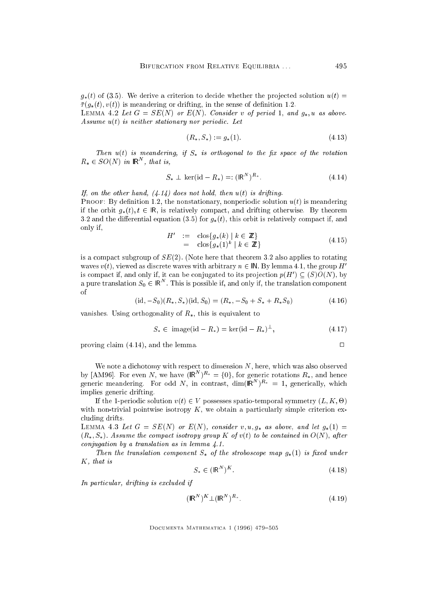$g_*(t)$  of (3.5). We derive a criterion to decide whether the projected solution  $u(t)$  $\bar{\tau}(g_*(t), v(t))$  is meandering or drifting, in the sense of definition 1.2.

LEMMA 4.2 Let  $G = SE(N)$  or  $E(N)$ . Consider v of period 1, and  $g_*, u$  as above. Assume  $u(t)$  is neither stationary nor periodic. Let

$$
(R_*, S_*) := g_*(1). \tag{4.13}
$$

Then  $u(t)$  is meandering, if  $S_*$  is orthogonal to the fix space of the rotation  $R_* \in SU(N)$  in  $\mathsf{IR}$ , that is,

$$
S_* \perp \ker(\text{id} - R_*) =: (\mathsf{IR}^N)^{R_*}.
$$
\n(4.14)

If, on the other hand,  $(4.14)$  does not hold, then  $u(t)$  is drifting. PROOF: By definition 1.2, the nonstationary, nonperiodic solution  $u(t)$  is meandering if the orbit  $g_*(t)$ ,  $t \in \mathbb{R}$ , is relatively compact, and drifting otherwise. By theorem 3.2 and the differential equation (3.5) for  $q_*(t)$ , this orbit is relatively compact if, and only if,

$$
H' := \text{clos}\lbrace g_*(k) \mid k \in \mathbb{Z} \rbrace
$$
  
= \text{clos}\lbrace g\_\*(1)^k \mid k \in \mathbb{Z} \rbrace \t\t(4.15)

is a compact subgroup of  $SE(2)$ . (Note here that theorem 3.2 also applies to rotating waves  $v(t)$ , viewed as discrete waves with arbitrary  $n \in \mathbb{N}$ . By lemma 4.1, the group H<sup>t</sup> is compact if, and only if, it can be conjugated to its projection  $p(H) \subseteq (S) \cup (N)$ , by a pure translation  $S_0 \in$  IR  $\,$  . This is possible if, and only if, the translation component of

 $(id, -S_0)(R_*, S_*)(id, S_0) = (R_*, -S_0 + S_* + R_*S_0)$  (4.16)

vanishes. Using orthogonality of  $R_*$ , this is equivalent to

$$
S_* \in \text{ image}(\text{id} - R_*) = \text{ker}(\text{id} - R_*)^{\perp},\tag{4.17}
$$

proving claim  $(4.14)$ , and the lemma.

We note a dichotomy with respect to dimension N, here, which was also observed by [AM96]. For even N, we have 
$$
(\mathsf{IR}^N)^{R_*} = \{0\}
$$
, for generic rotations  $R_*$ , and hence generic meandering. For odd N, in contrast,  $\dim(\mathsf{IR}^N)^{R_*} = 1$ , generically, which implies generic drifting.

If the 1-periodic solution v(t) <sup>2</sup> <sup>V</sup> possesses spatio-temporal symmetry (L; K; -) with non-trivial pointwise isotropy  $K$ , we obtain a particularly simple criterion excluding drifts.

LEMMA 4.3 Let  $G = SE(N)$  or  $E(N)$ , consider v, u,  $g_*$  as above, and let  $g_*(1) =$  $(R_*, S_*)$ . Assume the compact isotropy group K of  $v(t)$  to be contained in  $O(N)$ , after conjugation by a translation as in lemma 4.1.

Then the translation component  $S_{*}$  of the stroboscope map  $g_{*}(1)$  is fixed under K, that is

$$
S_* \in (\mathsf{IR}^N)^K. \tag{4.18}
$$

In particular, drifting is excluded if

$$
(\mathsf{IR}^N)^K \perp (\mathsf{IR}^N)^{R_*}.\tag{4.19}
$$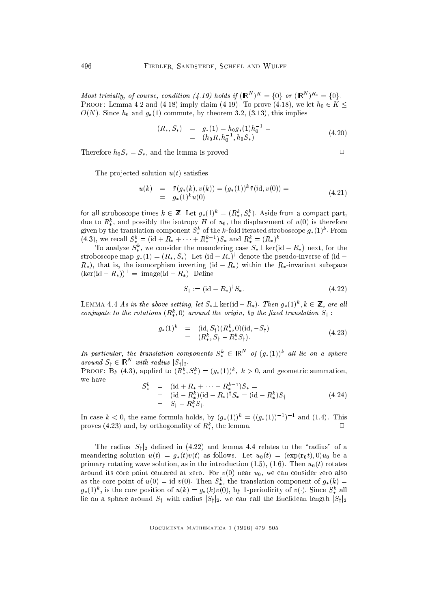*Most trivially, of course, condition (4.19) holds if*  $\overline{IR}$   $\rightarrow$   $\overline{P}$   $\rightarrow$   $\overline{q}$  ( $\overline{IR}$   $\rightarrow$   $\overline{r}$   $\equiv$   $\overline{q}$ )). PROOF: Lemma 4.2 and (4.18) imply claim (4.19). To prove (4.18), we let  $h_0 \in K \leq$  $O(N)$ . Since  $h_0$  and  $g_*(1)$  commute, by theorem 3.2, (3.13), this implies

$$
(R_*, S_*) = g_*(1) = h_0 g_*(1) h_0^{-1} =
$$
  
=  $(h_0 R_* h_0^{-1}, h_0 S_*)$ . (4.20)

Therefore  $h_0S_* = S_*$ , and the lemma is proved.

$$
\Box
$$

The projected solution  $u(t)$  satisfies

$$
u(k) = \bar{\tau}(g_*(k), v(k)) = (g_*(1))^k \bar{\tau}(\text{id}, v(0)) =
$$
  
=  $g_*(1)^k u(0)$  (4.21)

for an stroboscope times  $\kappa \in \mathbb{Z}$ . Let  $g_*(1)^{\sim} \equiv (\kappa^*_*, \kappa^*_*)$ . Aside from a compact part, due to  $R_*$ , and possibly the isotropy H of  $u_0$ , the displacement of  $u(0)$  is therefore given by the translation component  $S_*$  of the  $\kappa$ -fold iterated stroboscope  $g_*(1)$  . From  $(4.3)$ , we recall  $S_* = (10 + R_* + \cdots + R_* - 1)S_*$  and  $R_* = (R_*)^T$ .

To analyze  $S_*$ , we consider the meandering case  $S_*\perp$  ker(id  $-R_*$ ) next, for the stroboscope map  $g_*(1) = (R_*, S_*)$ . Let  $(\mathrm{id} - R_*)^\vee$  denote the pseudo-inverse of  $(\mathrm{id} R_*$ , that is, the isomorphism inverting (id  $-R_*$ ) within the  $R_*$ -invariant subspace  $(\ker(\mathrm{id} - R_*))^{\perp} = \mathrm{image}(\mathrm{id} - R_*)$ . Define

$$
S_{\dagger} := (\text{id} - R_*)^{\dagger} S_*.
$$
 (4.22)

LEMMA 4.4 As in the above setting, let  $S_* \bot$  ker(id  $-K_*$ ). Then  $g_*(1)^{\circ}, \kappa \in \mathbb{Z}$ , are all conjugate to the rotations  $(R_*^*,0)$  around the origin, by the fixed translation  $S_t$ :

$$
g_*(1)^k = (\text{id}, S_\dagger)(R^k_*, 0)(\text{id}, -S_\dagger) = (R^k_*, S_\dagger - R^k_* S_\dagger).
$$
 (4.23)

In particular, the translation components  $S^*_*\in$   $\mathsf{IR}^-$  of  $(g_*(1))^*$  all lie on a sphere around  $S_1 \in \mathbb{R}^n$  with radius  $|S_1|_2$ .

**PROOF:** By (4.3), applied to  $(h_*, S_*) = (g_*(1))$ ,  $k > 0$ , and geometric summation, we have

$$
S_{*}^{k} = (\mathrm{id} + R_{*} + \cdots + R_{*}^{k-1}) S_{*} =
$$
  
= (\mathrm{id} - R\_{\*}^{k})(\mathrm{id} - R\_{\*})^{\dagger} S\_{\*} = (\mathrm{id} - R\_{\*}^{k}) S\_{\dagger}  
= S\_{\dagger} - R\_{\*}^{k} S\_{\dagger}. (4.24)

In case  $\kappa < 0$ , the same formula holds, by  $(g_*(1))^{\kappa} = ((g_*(1))^{\kappa})^{-1}$  and  $(1.4)$ . This  $\Box$ proves (4.25) and, by orthogonality of  $R_*^*$ , the lemma.

The radius  $|S_1|_2$  defined in (4.22) and lemma 4.4 relates to the "radius" of a meandering solution  $u(t) = g_*(t)v(t)$  as follows. Let  $u_0(t) = (\exp(r_0 t), 0)u_0$  be a primary rotating wave solution, as in the introduction (1.5), (1.6). Then  $u_0(t)$  rotates around its core point centered at zero. For  $v(0)$  near  $u_0$ , we can consider zero also as the core point of  $u(0) = \text{Id} \ v(0)$ . Then  $S_{\ast}$ , the translation component of  $g_{\ast}(\kappa) =$  $g_{*}(1)$ , is the core position of  $u(\kappa) = g_{*}(\kappa)v(0)$ , by 1-periodicity of  $v(\cdot)$ . Since  $S_{*}$  and lie on a sphere around  $S_t$  with radius  $|S_t|_2$ , we can call the Euclidean length  $|S_t|_2$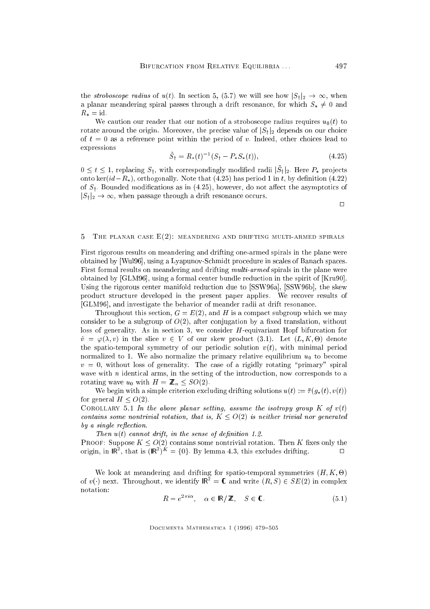the *stroboscope radius* of  $u(t)$ . In section 5, (5.7) we will see how  $|S_t|_2 \to \infty$ , when a planar meandering spiral passes through a drift resonance, for which  $S_* \neq 0$  and  $R_* = id.$ 

We caution our reader that our notion of a stroboscope radius requires  $u_0(t)$  to rotate around the origin. Moreover, the precise value of  $|S_t|_2$  depends on our choice of  $t = 0$  as a reference point within the period of v. Indeed, other choices lead to expressions

$$
\tilde{S}_\dagger = R_*(t)^{-1}(S_\dagger - P_*S_*(t)),\tag{4.25}
$$

 $0 \leq t \leq 1$ , replacing  $\mathcal{O}_1$ , with correspondingly modified radii  $\mathcal{O}_1$ |2. Here  $T_*$  projects onto ker( $id - R_*$ ), orthogonally. Note that (4.25) has period 1 in t, by definition (4.22) of  $S_{\dagger}$ . Bounded modifications as in (4.25), however, do not affect the asymptotics of  $|S_t|_2 \to \infty$ , when passage through a drift resonance occurs.

 $\Box$ 

#### THE PLANAR CASE  $E(2)$ : MEANDERING AND DRIFTING MULTI-ARMED SPIRALS  $\mathbb{R}$

First rigorous results on meandering and drifting one-armed spirals in the plane were obtained by [Wul96], using a Lyapunov-Schmidt procedure in scales of Banach spaces. First formal results on meandering and drifting multi-armed spirals in the plane were obtained by [GLM96], using a formal center bundle reduction in the spirit of [Kru90]. Using the rigorous center manifold reduction due to [SSW96a], [SSW96b], the skew product structure developed in the present paper applies. We recover results of [GLM96], and investigate the behavior of meander radii at drift resonance.

Throughout this section,  $G = E(2)$ , and H is a compact subgroup which we may consider to be a subgroup of  $O(2)$ , after conjugation by a fixed translation, without loss of generality. As in section 3, we consider H-equivariant Hopf bifurcation for  $v_1 = \varphi(\lambda, v)$  in the slice  $v \in V$  of our skew product (3.1). Let  $(L, K, \Theta)$  denote the spatio-temporal symmetry of our periodic solution  $v(t)$ , with minimal period normalized to 1. We also normalize the primary relative equilibrium  $u_0$  to become  $v = 0$ , without loss of generality. The case of a rigidly rotating "primary" spiral wave with  $n$  identical arms, in the setting of the introduction, now corresponds to a rotating wave  $u_0$  with  $H = \mathbb{Z}_n \leq SO(2)$ .

We begin with a simple criterion excluding drifting solutions  $u(t) := \overline{\tau}(g_*(t), v(t))$ for general  $H \leq O(2)$ .

COROLLARY 5.1 In the above planar setting, assume the isotropy group  $K$  of  $v(t)$ contains some nontrivial rotation, that is,  $K \leq O(2)$  is neither trivial nor generated  $by$  a single reflection.

Then  $u(t)$  cannot drift, in the sense of definition 1.2. PROOF: Suppose  $K \leq O(2)$  contains some nontrivial rotation. Then K fixes only the origin, in  $\mathsf{IR}^-$ , that is  $(\mathsf{IR}^-)^{**} = \{0\}$ . By lemma 4.3, this excludes drifting.  $\Box$ 

where the mean drifting for spatio-temporal symmetries (H;  $\mathcal{H}$  -  $\mathcal{H}$  -  $\mathcal{H}$  -  $\mathcal{H}$  -  $\mathcal{H}$  -  $\mathcal{H}$  -  $\mathcal{H}$  -  $\mathcal{H}$  -  $\mathcal{H}$  -  $\mathcal{H}$  -  $\mathcal{H}$  -  $\mathcal{H}$  -  $\mathcal{H}$  -  $\mathcal{H}$  -  $\mathcal{H}$ of  $v(\cdot)$  next. Infoughout, we identify  $\mathsf{IR}^{\mathsf{I}} = \mathsf{C}$  and write  $(R, S) \in SE(2)$  in complex notation:

$$
R = e^{2\pi i \alpha}, \quad \alpha \in \mathbb{R}/\mathbb{Z}, \quad S \in \mathbb{C}.
$$
 (5.1)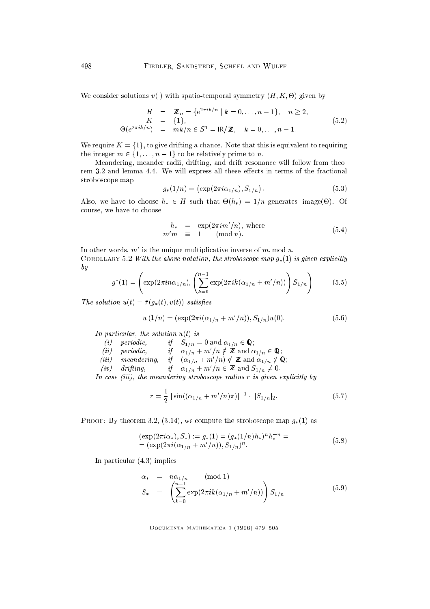where solutions variables variables variables variables of the spatio-temporal symmetry (H;  $\kappa$ ; -  $\kappa$ ; -  $\kappa$ ; -  $\kappa$ ; -  $\kappa$ ; -  $\kappa$ ; -  $\kappa$ ; -  $\kappa$ ; -  $\kappa$ ; -  $\kappa$ ; -  $\kappa$ ; -  $\kappa$ ; -  $\kappa$ ; -  $\kappa$ ; -  $\k$ 

$$
H = \mathbb{Z}_n = \{e^{2\pi i k/n} \mid k = 0, ..., n-1\}, \quad n \ge 2,
$$
  
\n
$$
K = \{1\},
$$
  
\n
$$
\Theta(e^{2\pi i k/n}) = mk/n \in S^1 = \mathbb{R}/\mathbb{Z}, \quad k = 0, ..., n-1.
$$
\n(5.2)

We require  $K = \{1\}$ , to give drifting a chance. Note that this is equivalent to requiring the integer  $m \in \{1, \ldots, n-1\}$  to be relatively prime to n.

Meandering, meander radii, drifting, and drift resonance will follow from theorem 3.2 and lemma 4.4. We will express all these effects in terms of the fractional stroboscope map

$$
g_*(1/n) = (\exp(2\pi i \alpha_{1/n}), S_{1/n}). \tag{5.3}
$$

Also, we have to choose h <sup>2</sup> <sup>H</sup> such that -(h) = 1=n generates image(-). Of course, we have to choose

$$
h_* = \exp(2\pi i m'/n), \text{ where}
$$
  
\n
$$
m'm \equiv 1 \pmod{n}.
$$
 (5.4)

In other words,  $m$  is the unique multiplicative inverse of  $m$ , mod  $n$ . COROLLARY 5.2 With the above notation, the stroboscope map  $g_*(1)$  is given explicitly by

$$
g^*(1) = \left(\exp(2\pi i n\alpha_{1/n}), \left(\sum_{k=0}^{n-1} \exp(2\pi i k(\alpha_{1/n} + m'/n))\right) S_{1/n}\right). \tag{5.5}
$$

The solution  $u(t) = \overline{\tau}(g_*(t), v(t))$  satisfies

$$
u(1/n) = (\exp(2\pi i(\alpha_{1/n} + m'/n)), S_{1/n})u(0).
$$
 (5.6)

In particular, the solution  $u(t)$  is

- $\begin{array}{ccc} \text{if} & \text{if} & \text{if} & \text{if} & \text{if} & \text{if} & \text{if} & \text{if} & \text{if} & \text{if} & \text{if} & \text{if} & \text{if} & \text{if} & \text{if} & \text{if} & \text{if} & \text{if} & \text{if} & \text{if} & \text{if} & \text{if} & \text{if} & \text{if} & \text{if} & \text{if} & \text{if} & \text{if} & \text{if} & \text{if} & \text{if} & \text{if} & \text{if} & \text{if} & \text{if} & \text{$
- (*u*) periodic,  $\int u_1/n + m/n \notin \mathbb{Z}$  and  $\alpha_{1/n} \in \mathbb{Q}$ ;
- (iii) meanaering, if  $(\alpha_{1/n} + m/n) \notin \mathbb{Z}$  and  $\alpha_{1/n} \notin \mathbb{Q}$ ;
- (*iv*) ary  $\mu$ ing, if  $\alpha_{1/n} + m/n \in \mathbb{Z}$  and  $S_{1/n} \neq 0$ .

In case (iii), the meandering stroboscope radius r is given explicitly by

$$
r = \frac{1}{2} \left| \sin((\alpha_{1/n} + m'/n)\pi) \right|^{-1} \cdot |S_{1/n}|_2.
$$
 (5.7)

PROOF: By theorem 3.2, (3.14), we compute the stroboscope map  $g_*(1)$  as

$$
(\exp(2\pi i\alpha_*), S_*) := g_*(1) = (g_*(1/n)h_*)^n h_*^{-n} =
$$
  
= 
$$
(\exp(2\pi i(\alpha_{1/n} + m'/n)), S_{1/n})^n.
$$
 (5.8)

In particular (4.3) implies

$$
\alpha_* = n\alpha_{1/n} \quad (\text{mod } 1)
$$
  
\n
$$
S_* = \left( \sum_{k=0}^{n-1} \exp(2\pi i k (\alpha_{1/n} + m'/n)) \right) S_{1/n}.
$$
 (5.9)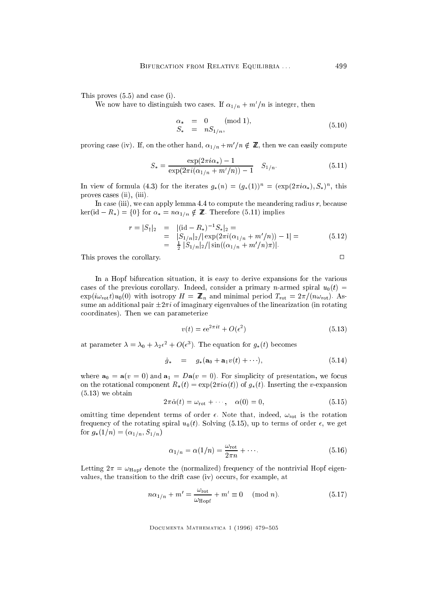This proves (5.5) and case (i).

We now have to distinguish two cases. If  $\alpha_{1/n} + m/n$  is integer, then

$$
\begin{array}{rcl}\n\alpha_{*} & = & 0 \quad \text{(mod 1)}, \\
S_{*} & = & nS_{1/n},\n\end{array} \tag{5.10}
$$

proving case (iv). It, on the other hand,  $\alpha_{1/n}+m/n \notin \mathbb{Z}$ , then we can easily compute

$$
S_* = \frac{\exp(2\pi i \alpha_*) - 1}{\exp(2\pi i (\alpha_{1/n} + m'/n)) - 1} \quad S_{1/n}.
$$
 (5.11)

In view of formula (4.3) for the iterates  $g_*(n) = (g_*(1))$  =  $(\exp(2\pi i\alpha_*), \beta_*)$ , this proves cases (ii), (iii).

In case (iii), we can apply lemma 4.4 to compute the meandering radius  $r$ , because ker(id  $-R_*$ ) = {0} for  $\alpha_* = n\alpha_{1/n} \notin \mathbb{Z}$ . Therefore (5.11) implies

$$
r = |S_{\dagger}|_2 = |(\mathrm{id} - R_*)^{-1} S_*|_2 =
$$
  
=  $|S_{1/n}|_2/|\exp(2\pi i(\alpha_{1/n} + m'/n)) - 1| =$  (5.12)  
=  $\frac{1}{2} |S_{1/n}|_2/|\sin((\alpha_{1/n} + m'/n)\pi)|.$ 

This proves the corollary.

In a Hopf bifurcation situation, it is easy to derive expansions for the various cases of the previous corollary. Indeed, consider a primary n-armed spiral  $u_0(t)$  =  $\exp(i\omega_{\rm rot}t)u_0(0)$  with isotropy  $H = \mathbb{Z}_n$  and minimal period  $T_{\rm rot} = 2\pi/(n\omega_{\rm rot})$ . Assume an additional pair  $\pm 2\pi i$  of imaginary eigenvalues of the linearization (in rotating coordinates). Then we can parameterize

$$
v(t) = \epsilon e^{2\pi i t} + O(\epsilon^2)
$$
\n(5.13)

at parameter  $\lambda = \lambda_0 + \lambda_2 \epsilon_+ + O(\epsilon_-)$ . The equation for  $g_*(t)$  becomes

$$
\dot{g}_{*} = g_{*}(\mathbf{a}_{0} + \mathbf{a}_{1}v(t) + \cdots), \qquad (5.14)
$$

where  $\mathbf{a}_0 = \mathbf{a}(v = 0)$  and  $\mathbf{a}_1 = D\mathbf{a}(v = 0)$ . For simplicity of presentation, we focus on the rotational component  $R_*(t) = \exp(2\pi i \alpha(t))$  of  $g_*(t)$ . Inserting the v-expansion (5.13) we obtain

$$
2\pi\dot{\alpha}(t) = \omega_{\rm rot} + \cdots, \quad \alpha(0) = 0,
$$
\n(5.15)

omitting time dependent terms of order  $\epsilon$ . Note that, indeed,  $\omega_{\text{rot}}$  is the rotation frequency of the rotating spiral  $u_0(t)$ . Solving (5.15), up to terms of order  $\epsilon$ , we get for  $g_*(1/n) = (\alpha_{1/n}, S_{1/n})$ 

$$
\alpha_{1/n} = \alpha(1/n) = \frac{\omega_{\text{rot}}}{2\pi n} + \cdots. \tag{5.16}
$$

Letting  $2\pi = \omega_{\text{Hopf}}$  denote the (normalized) frequency of the nontrivial Hopf eigenvalues, the transition to the drift case (iv) occurs, for example, at

$$
n\alpha_{1/n} + m' = \frac{\omega_{\text{rot}}}{\omega_{\text{Hopf}}} + m' \equiv 0 \pmod{n}.
$$
 (5.17)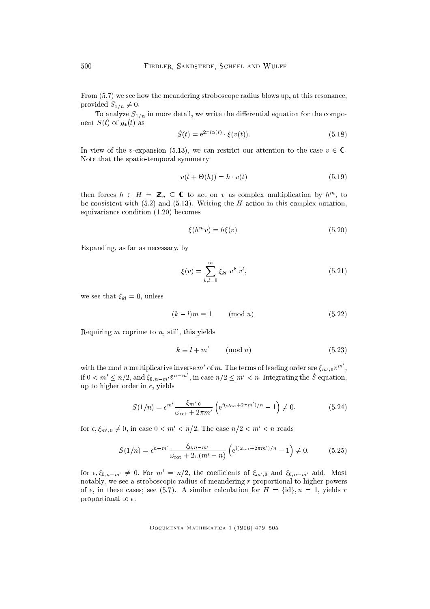From (5.7) we see how the meandering stroboscope radius blows up, at this resonance, provided  $S_{1/n} \neq 0$ .

To analyze  $S_{1/n}$  in more detail, we write the differential equation for the component  $S(t)$  of  $g_*(t)$  as

$$
\dot{S}(t) = e^{2\pi i \alpha(t)} \cdot \xi(v(t)). \tag{5.18}
$$

In view of the v-expansion (5.13), we can restrict our attention to the case  $v \in \mathbb{C}$ . Note that the spatio-temporal symmetry

$$
v(t + \Theta(h)) = h \cdot v(t) \tag{5.19}
$$

then forces  $n \in H = \mathbb{Z}_n \subseteq \mathbb{C}$  to act on v as complex multiplication by  $h^m$ , to be consistent with  $(5.2)$  and  $(5.13)$ . Writing the H-action in this complex notation, equivariance condition (1.20) becomes

$$
\xi(h^m v) = h\xi(v). \tag{5.20}
$$

Expanding, as far as necessary, by

$$
\xi(v) = \sum_{k,l=0}^{\infty} \xi_{kl} v^k \bar{v}^l,
$$
\n(5.21)

we see that  $\xi_{kl} = 0$ , unless

$$
(k-l)m \equiv 1 \qquad \text{(mod } n\text{)}.\tag{5.22}
$$

Requiring  $m$  coprime to  $n$ , still, this yields

$$
k \equiv l + m' \qquad \text{(mod } n\text{)}\tag{5.23}
$$

with the mod n multiplicative inverse m' of m. The terms of leading order are  $\xi_{m',0}v^m$ , if  $0 \lt m' \leq n/2$ , and  $\xi_{0,n-m'}\bar{v}^{n-m}$ , in case  $n/2 \leq m' \lt n$ . Integrating the S equation, up to higher order in  $\epsilon$ , yields

$$
S(1/n) = \epsilon^{m'} \frac{\xi_{m',0}}{\omega_{\rm rot} + 2\pi m'} \left( e^{i(\omega_{\rm rot} + 2\pi m')/n} - 1 \right) \neq 0. \tag{5.24}
$$

for  $\epsilon, \xi_{m',0} \neq 0$ , in case  $0 \leq m' \leq n/2$ . The case  $n/2 \leq m' \leq n$  reads

$$
S(1/n) = \epsilon^{n-m'} \frac{\xi_{0,n-m'}}{\omega_{\rm rot} + 2\pi (m'-n)} \left( e^{i(\omega_{\rm rot} + 2\pi m')/n} - 1 \right) \neq 0. \tag{5.25}
$$

for  $\epsilon, \zeta_{0,n-m'} \neq 0$ . For  $m = n/2$ , the coefficients of  $\zeta_{m',0}$  and  $\zeta_{0,n-m'}$  add. Most notably, we see a stroboscopic radius of meandering  $r$  proportional to higher powers of  $\epsilon$ , in these cases; see (5.7). A similar calculation for  $H = \{id\}$ ,  $n = 1$ , yields r proportional to  $\epsilon$ .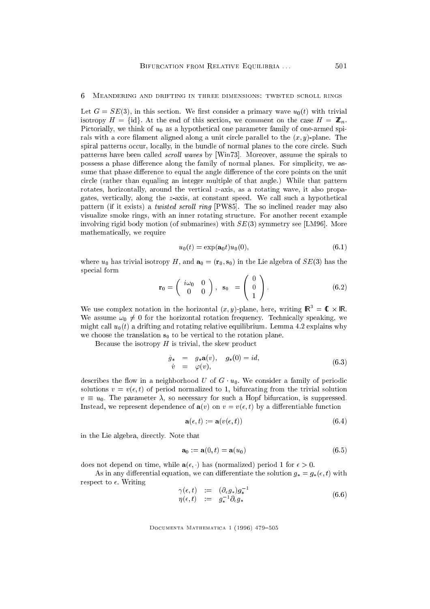#### 6 Meandering and drifting in three dimensions: twisted scroll rings 6

Let  $G = SE(3)$ , in this section. We first consider a primary wave  $u_0(t)$  with trivial is the fidge  $\sim$  fides for the end of this section, we comment on the case  $\sim$   $\sim$   $\sim$   $\sim$ Pictorially, we think of  $u_0$  as a hypothetical one parameter family of one-armed spirals with a core filament aligned along a unit circle parallel to the  $(x, y)$ -plane. The spiral patterns occur, locally, in the bundle of normal planes to the core circle. Such patterns have been called *scroll waves* by [Win73]. Moreover, assume the spirals to possess a phase difference along the family of normal planes. For simplicity, we assume that phase difference to equal the angle difference of the core points on the unit circle (rather than equaling an integer multiple of that angle.) While that pattern rotates, horizontally, around the vertical z-axis, as a rotating wave, it also propagates, vertically, along the z-axis, at constant speed. We call such a hypothetical pattern (if it exists) a *twisted scroll ring* [PW85]. The so inclined reader may also visualize smoke rings, with an inner rotating structure. For another recent example involving rigid body motion (of submarines) with  $SE(3)$  symmetry see [LM96]. More mathematically, we require

$$
u_0(t) = \exp(\mathbf{a}_0 t) u_0(0),\tag{6.1}
$$

 $\sim$ 

where  $u_0$  has trivial isotropy H, and  $\mathbf{a}_0 = (\mathbf{r}_0, \mathbf{s}_0)$  in the Lie algebra of  $SE(3)$  has the special form

$$
\mathbf{r}_0 = \begin{pmatrix} i\omega_0 & 0 \\ 0 & 0 \end{pmatrix}, \quad \mathbf{s}_0 = \begin{pmatrix} 0 \\ 0 \\ 1 \end{pmatrix}.
$$
 (6.2)

 $\overline{\phantom{a}}$ 

We use complex notation in the horizontal  $(x, y)$ -plane, here, writing  $\mathsf{IR}^{\mathsf{T}} = \mathsf{U} \times \mathsf{IR}$ . We assume  $\omega_0 \neq 0$  for the horizontal rotation frequency. Technically speaking, we might call  $u_0(t)$  a drifting and rotating relative equilibrium. Lemma 4.2 explains why we choose the translation  $s_0$  to be vertical to the rotation plane.

Because the isotropy  $H$  is trivial, the skew product

$$
\dot{g}_{*} = g_{*}\mathbf{a}(v), \quad g_{*}(0) = id, \n\dot{v} = \varphi(v),
$$
\n(6.3)

describes the flow in a neighborhood U of  $G \cdot u_0$ . We consider a family of periodic solutions  $v = v(\epsilon, t)$  of period normalized to 1, bifurcating from the trivial solution  $v \equiv u_0$ . The parameter  $\lambda$ , so necessary for such a Hopf bifurcation, is suppressed. Instead, we represent dependence of  $\mathbf{a}(v)$  on  $v = v(\epsilon, t)$  by a differentiable function

$$
\mathbf{a}(\epsilon, t) := \mathbf{a}(v(\epsilon, t)) \tag{6.4}
$$

in the Lie algebra, directly. Note that

$$
\mathbf{a}_0 := \mathbf{a}(0, t) = \mathbf{a}(u_0) \tag{6.5}
$$

does not depend on time, while  $\mathbf{a}(\epsilon, \cdot)$  has (normalized) period 1 for  $\epsilon > 0$ .

As in any differential equation, we can differentiate the solution  $g_* = g_*(\epsilon, t)$  with respect to  $\epsilon$ . Writing

$$
\begin{array}{rcl}\n\gamma(\epsilon, t) & := & (\partial_{\epsilon} g_*) g_*^{-1} \\
\eta(\epsilon, t) & := & g_*^{-1} \partial_{\epsilon} g_*\n\end{array} \tag{6.6}
$$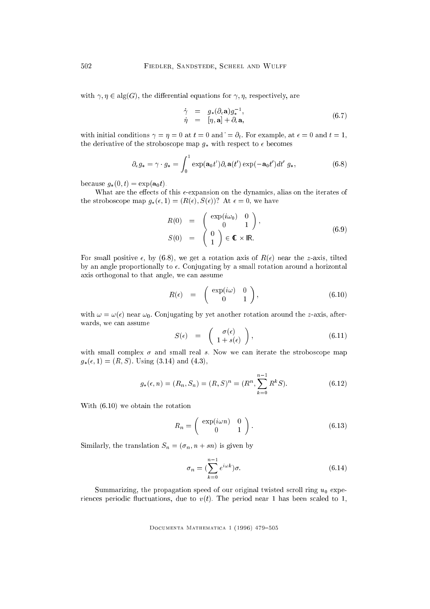with  $\gamma, \eta \in \text{alg}(G)$ , the differential equations for  $\gamma, \eta$ , respectively, are

$$
\dot{\gamma} = g_*(\partial_{\epsilon} \mathbf{a}) g_*^{-1}, \n\dot{\eta} = [\eta, \mathbf{a}] + \partial_{\epsilon} \mathbf{a},
$$
\n(6.7)

with initial conditions  $\gamma = \eta = 0$  at  $t = 0$  and  $\dot{\theta} = \partial_t$ . For example, at  $\epsilon = 0$  and  $t = 1$ , the derivative of the stroboscope map  $g_*$  with respect to  $\epsilon$  becomes

$$
\partial_{\epsilon} g_{*} = \gamma \cdot g_{*} = \int_{0}^{1} \exp(\mathbf{a}_{0} t') \partial_{\epsilon} \mathbf{a}(t') \exp(-\mathbf{a}_{0} t') dt' g_{*}, \qquad (6.8)
$$

because  $g_*(0, t) = \exp(\mathbf{a}_0 t).$ 

What are the effects of this  $\epsilon$ -expansion on the dynamics, alias on the iterates of the stroboscope map  $g_*(\epsilon, 1) = (R(\epsilon), S(\epsilon))$ ? At  $\epsilon = 0$ , we have

$$
R(0) = \begin{pmatrix} \exp(i\omega_0) & 0 \\ 0 & 1 \end{pmatrix},
$$
  
\n
$$
S(0) = \begin{pmatrix} 0 \\ 1 \end{pmatrix} \in \mathbb{C} \times \mathbb{IR}.
$$
 (6.9)

For small positive  $\epsilon$ , by (6.8), we get a rotation axis of  $R(\epsilon)$  near the z-axis, tilted by an angle proportionally to  $\epsilon$ . Conjugating by a small rotation around a horizontal axis orthogonal to that angle, we can assume

$$
R(\epsilon) = \begin{pmatrix} \exp(i\omega) & 0 \\ 0 & 1 \end{pmatrix}, \tag{6.10}
$$

with  $\omega = \omega(\epsilon)$  near  $\omega_0$ . Conjugating by yet another rotation around the z-axis, afterwards, we can assume

$$
S(\epsilon) = \begin{pmatrix} \sigma(\epsilon) \\ 1 + s(\epsilon) \end{pmatrix}, \qquad (6.11)
$$

with small complex  $\sigma$  and small real s. Now we can iterate the stroboscope map  $g_*(\epsilon, 1) = (R, S)$ . Using (3.14) and (4.3),

$$
g_*(\epsilon, n) = (R_n, S_n) = (R, S)^n = (R^n, \sum_{k=0}^{n-1} R^k S).
$$
 (6.12)

With (6.10) we obtain the rotation

$$
R_n = \left(\begin{array}{cc} \exp(i\omega n) & 0\\ 0 & 1 \end{array}\right). \tag{6.13}
$$

Similarly, the translation  $S_n = (\sigma_n, n + sn)$  is given by

$$
\sigma_n = \left(\sum_{k=0}^{n-1} e^{i\omega k}\right)\sigma.
$$
\n(6.14)

Summarizing, the propagation speed of our original twisted scroll ring  $u_0$  experiences periodic fluctuations, due to  $v(t)$ . The period near 1 has been scaled to 1,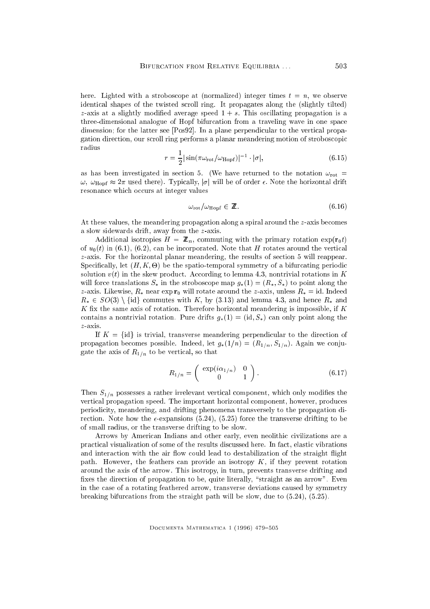here. Lighted with a stroboscope at (normalized) integer times  $t = n$ , we observe identical shapes of the twisted scroll ring. It propagates along the (slightly tilted) z-axis at a slightly modified average speed  $1 + s$ . This oscillating propagation is a three-dimensional analogue of Hopf bifurcation from a traveling wave in one space dimension; for the latter see [Pos92]. In a plane perpendicular to the vertical propagation direction, our scroll ring performs a planar meandering motion of stroboscopic radius

$$
r = \frac{1}{2} |\sin(\pi \omega_{\text{rot}}/\omega_{\text{Hopf}})|^{-1} \cdot |\sigma|,
$$
\n(6.15)

as has been investigated in section 5. (We have returned to the notation  $\omega_{\text{rot}} =$  $\omega$ ,  $\omega_{\text{Hopf}} \approx 2\pi$  used there). Typically,  $|\sigma|$  will be of order  $\epsilon$ . Note the horizontal drift resonance which occurs at integer values

$$
\omega_{\rm rot} / \omega_{\rm Hopf} \in \mathbb{Z}.
$$
\n(6.16)

At these values, the meandering propagation along a spiral around the z-axis becomes a slow sidewards drift, away from the z-axis.

Additional isotropies H  $\alpha$  and  $\alpha$  is commuting with the primary rotation expectation expectation exponential exponential exponential exponential exponential exponential exponential exponential exponential exponential of  $u_0(t)$  in (6.1), (6.2), can be incorporated. Note that H rotates around the vertical z-axis. For the horizontal planar meandering, the results of section 5 will reappear. Specically, let (H; K; -) be the spatio-temporal symmetry of a bifurcating periodic solution  $v(t)$  in the skew product. According to lemma 4.3, nontrivial rotations in K will force translations  $S_*$  in the stroboscope map  $g_*(1) = (R_*, S_*)$  to point along the z-axis. Likewise,  $R_*$  near exp  $\mathbf{r}_0$  will rotate around the z-axis, unless  $R_* = id$ . Indeed  $R_* \in SO(3) \setminus \{id\}$  commutes with K, by (3.13) and lemma 4.3, and hence  $R_*$  and  $K$  fix the same axis of rotation. Therefore horizontal meandering is impossible, if  $K$ contains a nontrivial rotation. Pure drifts  $g_*(1) = (\mathrm{id}, S_*)$  can only point along the z-axis.

If  $K = \{id\}$  is trivial, transverse meandering perpendicular to the direction of propagation becomes possible. Indeed, let  $g_*(1/n) = (R_{1/n}, S_{1/n})$ . Again we conjugate the axis of  $R_{1/n}$  to be vertical, so that

$$
R_{1/n} = \begin{pmatrix} \exp(i\alpha_{1/n}) & 0\\ 0 & 1 \end{pmatrix}.
$$
 (6.17)

Then  $S_{1/n}$  possesses a rather irrelevant vertical component, which only modifies the vertical propagation speed. The important horizontal component, however, produces periodicity, meandering, and drifting phenomena transversely to the propagation direction. Note how the  $\epsilon$ -expansions (5.24), (5.25) force the transverse drifting to be of small radius, or the transverse drifting to be slow.

Arrows by American Indians and other early, even neolithic civilizations are a practical visualization of some of the results discussed here. In fact, elastic vibrations and interaction with the air flow could lead to destabilization of the straight flight path. However, the feathers can provide an isotropy  $K$ , if they prevent rotation around the axis of the arrow. This isotropy, in turn, prevents transverse drifting and fixes the direction of propagation to be, quite literally, "straight as an arrow". Even in the case of a rotating feathered arrow, transverse deviations caused by symmetry breaking bifurcations from the straight path will be slow, due to (5.24), (5.25).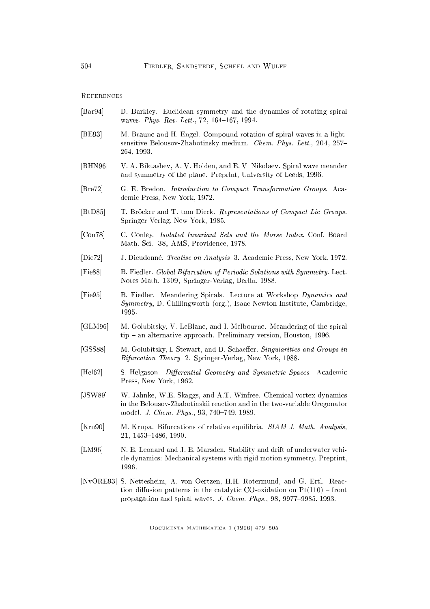## **REFERENCES**

- [Bar94] D. Barkley. Euclidean symmetry and the dynamics of rotating spiral waves. Phys. Rev. Lett., 72, 164-167, 1994.
- [BE93] M. Braune and H. Engel. Compound rotation of spiral waves in a lightsensitive Belousov-Zhabotinsky medium. Chem. Phys. Lett., 204, 257-264, 1993.
- [BHN96] V. A. Biktashev, A. V. Holden, and E. V. Nikolaev. Spiral wave meander and symmetry of the plane. Preprint, University of Leeds, 1996.
- [Bre72] G. E. Bredon. Introduction to Compact Transformation Groups. Academic Press, New York, 1972.
- [BtD85] T. Bröcker and T. tom Dieck. Representations of Compact Lie Groups. Springer-Verlag, New York, 1985.
- [Con78] C. Conley. Isolated Invariant Sets and the Morse Index. Conf. Board Math. Sci. 38, AMS, Providence, 1978.
- [Die72] J. Dieudonne. Treatise on Analysis 3. Academic Press, New York, 1972.
- [Fie88] B. Fiedler. Global Bifurcation of Periodic Solutions with Symmetry. Lect. Notes Math. 1309, Springer-Verlag, Berlin, 1988.
- [Fie95] B. Fiedler. Meandering Spirals. Lecture at Workshop Dynamics and Symmetry, D. Chillingworth (org.), Isaac Newton Institute, Cambridge, 1995.
- [GLM96] M. Golubitsky, V. LeBlanc, and I. Melbourne. Meandering of the spiral tip – an alternative approach. Preliminary version, Houston, 1996.
- [GSS88] M. Golubitsky, I. Stewart, and D. Schaeffer. Singularities and Groups in Bifurcation Theory 2. Springer-Verlag, New York, 1988.
- [Hel62] S. Helgason. *Differential Geometry and Symmetric Spaces.* Academic Press, New York, 1962.
- [JSW89] W. Jahnke, W.E. Skaggs, and A.T. Winfree. Chemical vortex dynamics in the Belousov-Zhabotinskii reaction and in the two-variable Oregonator model. J. Chem. Phys., 93, 740-749, 1989.
- [Kru90] M. Krupa. Bifurcations of relative equilibria. SIAM J. Math. Analysis, 21, 1453-1486, 1990.
- [LM96] N. E. Leonard and J. E. Marsden. Stability and drift of underwater vehicle dynamics: Mechanical systems with rigid motion symmetry. Preprint, 1996.
- [NvORE93] S. Nettesheim, A. von Oertzen, H.H. Rotermund, and G. Ertl. Reaction diffusion patterns in the catalytic CO-oxidation on  $Pt(110)$  - front propagation and spiral waves. J. Chem. Phys., 98, 9977-9985, 1993.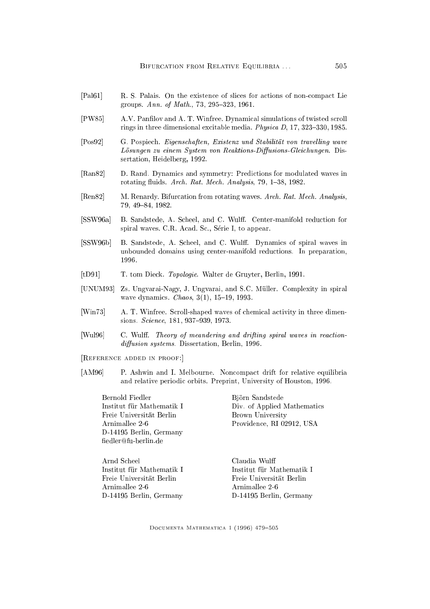- [Pal61] R. S. Palais. On the existence of slices for actions of non-compact Lie groups. Ann. of Math.,  $73, 295{-}323, 1961$ .
- [PW85] A.V. Panlov and A. T. Winfree. Dynamical simulations of twisted scroll rings in three dimensional excitable media. *Physica D*, 17, 323-330, 1985.
- [Pos92] G. Pospiech. Eigenschaften, Existenz und Stabilität von travelling wave  $L\ddot{o}supgen zu einem System von Reaktions-Diffusions-Gleichungen. Dis$ sertation, Heidelberg, 1992.
- [Ran82] D. Rand. Dynamics and symmetry: Predictions for modulated waves in rotating fluids. Arch. Rat. Mech. Analysis, 79, 1-38, 1982.
- [Ren82] M. Renardy. Bifurcation from rotating waves. Arch. Rat. Mech. Analysis, 79, 49-84, 1982.
- [SSW96a] B. Sandstede, A. Scheel, and C. Wulff. Center-manifold reduction for spiral waves. C.R. Acad. Sc., Serie I, to appear.
- [SSW96b] B. Sandstede, A. Scheel, and C. Wulff. Dynamics of spiral waves in unbounded domains using center-manifold reductions. In preparation, 1996.
- [tD91] T. tom Dieck. Topologie. Walter de Gruyter, Berlin, 1991.
- [UNUM93] Zs. Ungvarai-Nagy, J. Ungvarai, and S.C. Müller. Complexity in spiral wave dynamics. *Chaos*,  $3(1)$ ,  $15{-}19$ , 1993.
- [Win73] A. T. Winfree. Scroll-shaped waves of chemical activity in three dimensions. Science, 181, 937-939, 1973.
- [Wul96] C. Wulff. Theory of meandering and drifting spiral waves in reaction $diffusion$  systems. Dissertation, Berlin, 1996.
- [Reference added in proof:]
- [AM96] P. Ashwin and I. Melbourne. Noncompact drift for relative equilibria and relative periodic orbits. Preprint, University of Houston, 1996.

Bernold Fiedler Institut für Mathematik I Freie Universitat Berlin Arnimallee 2-6 D-14195 Berlin, Germany fiedler@fu-berlin.de

Bjorn Sandstede Div. of Applied Mathematics Brown University Providence, RI 02912, USA

Arnd Scheel Institut für Mathematik I Freie Universitat Berlin Arnimallee 2-6 D-14195 Berlin, Germany Claudia Wul Institut für Mathematik I Freie Universitat Berlin Arnimallee 2-6 D-14195 Berlin, Germany